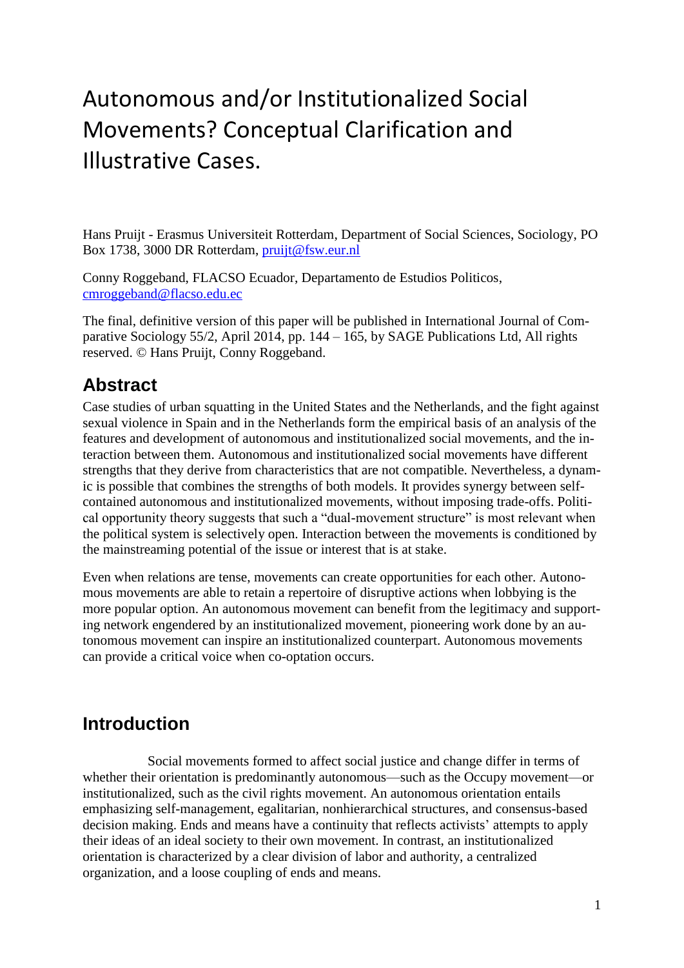# Autonomous and/or Institutionalized Social Movements? Conceptual Clarification and Illustrative Cases.

Hans Pruijt - Erasmus Universiteit Rotterdam, Department of Social Sciences, Sociology, PO Box 1738, 3000 DR Rotterdam, [pruijt@fsw.eur.nl](mailto:pruijt@fsw.eur.nl)

Conny Roggeband, FLACSO Ecuador, Departamento de Estudios Politicos, [cmroggeband@flacso.edu.ec](mailto:cmroggeband@flacso.edu.ec)

The final, definitive version of this paper will be published in International Journal of Comparative Sociology 55/2, April 2014, pp. 144 – 165, by SAGE Publications Ltd, All rights reserved. © Hans Pruijt, Conny Roggeband.

# **Abstract**

Case studies of urban squatting in the United States and the Netherlands, and the fight against sexual violence in Spain and in the Netherlands form the empirical basis of an analysis of the features and development of autonomous and institutionalized social movements, and the interaction between them. Autonomous and institutionalized social movements have different strengths that they derive from characteristics that are not compatible. Nevertheless, a dynamic is possible that combines the strengths of both models. It provides synergy between selfcontained autonomous and institutionalized movements, without imposing trade-offs. Political opportunity theory suggests that such a "dual-movement structure" is most relevant when the political system is selectively open. Interaction between the movements is conditioned by the mainstreaming potential of the issue or interest that is at stake.

Even when relations are tense, movements can create opportunities for each other. Autonomous movements are able to retain a repertoire of disruptive actions when lobbying is the more popular option. An autonomous movement can benefit from the legitimacy and supporting network engendered by an institutionalized movement, pioneering work done by an autonomous movement can inspire an institutionalized counterpart. Autonomous movements can provide a critical voice when co-optation occurs.

# **Introduction**

Social movements formed to affect social justice and change differ in terms of whether their orientation is predominantly autonomous—such as the Occupy movement—or institutionalized, such as the civil rights movement. An autonomous orientation entails emphasizing self-management, egalitarian, nonhierarchical structures, and consensus-based decision making. Ends and means have a continuity that reflects activists' attempts to apply their ideas of an ideal society to their own movement. In contrast, an institutionalized orientation is characterized by a clear division of labor and authority, a centralized organization, and a loose coupling of ends and means.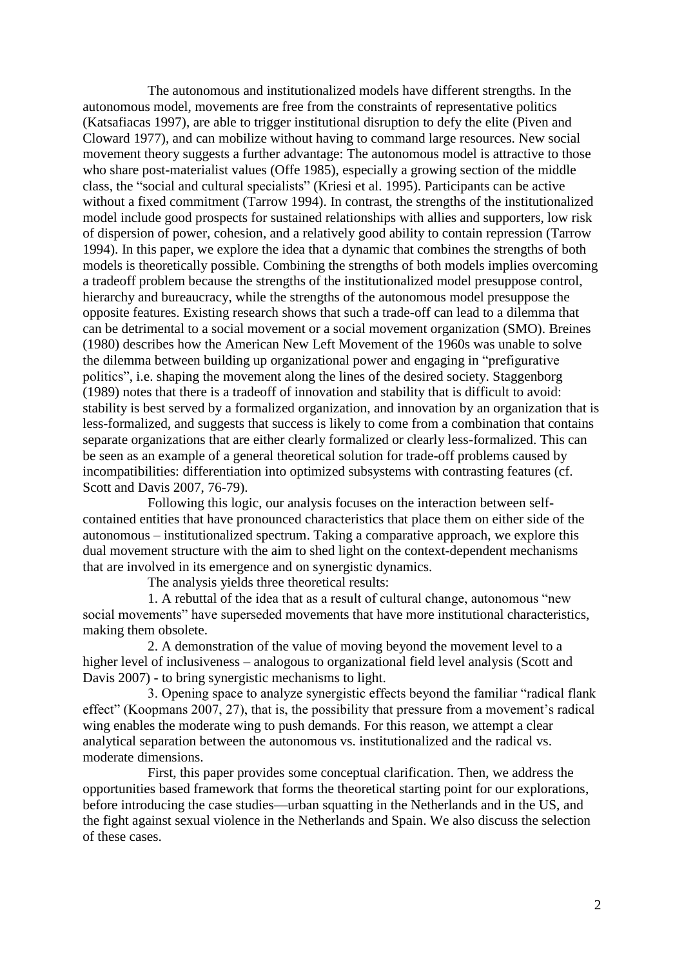The autonomous and institutionalized models have different strengths. In the autonomous model, movements are free from the constraints of representative politics (Katsafiacas 1997), are able to trigger institutional disruption to defy the elite (Piven and Cloward 1977), and can mobilize without having to command large resources. New social movement theory suggests a further advantage: The autonomous model is attractive to those who share post-materialist values (Offe 1985), especially a growing section of the middle class, the "social and cultural specialists" (Kriesi et al. 1995). Participants can be active without a fixed commitment (Tarrow 1994). In contrast, the strengths of the institutionalized model include good prospects for sustained relationships with allies and supporters, low risk of dispersion of power, cohesion, and a relatively good ability to contain repression (Tarrow 1994). In this paper, we explore the idea that a dynamic that combines the strengths of both models is theoretically possible. Combining the strengths of both models implies overcoming a tradeoff problem because the strengths of the institutionalized model presuppose control, hierarchy and bureaucracy, while the strengths of the autonomous model presuppose the opposite features. Existing research shows that such a trade-off can lead to a dilemma that can be detrimental to a social movement or a social movement organization (SMO). Breines (1980) describes how the American New Left Movement of the 1960s was unable to solve the dilemma between building up organizational power and engaging in "prefigurative" politics", i.e. shaping the movement along the lines of the desired society. Staggenborg (1989) notes that there is a tradeoff of innovation and stability that is difficult to avoid: stability is best served by a formalized organization, and innovation by an organization that is less-formalized, and suggests that success is likely to come from a combination that contains separate organizations that are either clearly formalized or clearly less-formalized. This can be seen as an example of a general theoretical solution for trade-off problems caused by incompatibilities: differentiation into optimized subsystems with contrasting features (cf. Scott and Davis 2007, 76-79).

Following this logic, our analysis focuses on the interaction between selfcontained entities that have pronounced characteristics that place them on either side of the autonomous – institutionalized spectrum. Taking a comparative approach, we explore this dual movement structure with the aim to shed light on the context-dependent mechanisms that are involved in its emergence and on synergistic dynamics.

The analysis yields three theoretical results:

1. A rebuttal of the idea that as a result of cultural change, autonomous "new social movements" have superseded movements that have more institutional characteristics, making them obsolete.

2. A demonstration of the value of moving beyond the movement level to a higher level of inclusiveness – analogous to organizational field level analysis (Scott and Davis 2007) - to bring synergistic mechanisms to light.

3. Opening space to analyze synergistic effects beyond the familiar "radical flank" effect" (Koopmans 2007, 27), that is, the possibility that pressure from a movement's radical wing enables the moderate wing to push demands. For this reason, we attempt a clear analytical separation between the autonomous vs. institutionalized and the radical vs. moderate dimensions.

First, this paper provides some conceptual clarification. Then, we address the opportunities based framework that forms the theoretical starting point for our explorations, before introducing the case studies—urban squatting in the Netherlands and in the US, and the fight against sexual violence in the Netherlands and Spain. We also discuss the selection of these cases.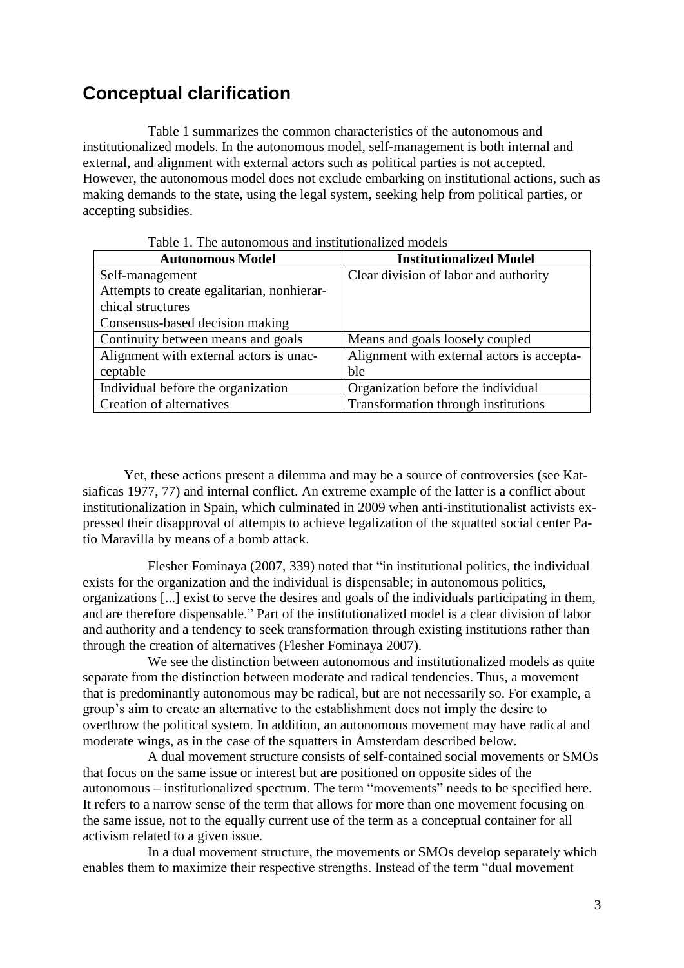# **Conceptual clarification**

Table 1 summarizes the common characteristics of the autonomous and institutionalized models. In the autonomous model, self-management is both internal and external, and alignment with external actors such as political parties is not accepted. However, the autonomous model does not exclude embarking on institutional actions, such as making demands to the state, using the legal system, seeking help from political parties, or accepting subsidies.

| <b>Autonomous Model</b>                    | <b>Institutionalized Model</b>             |
|--------------------------------------------|--------------------------------------------|
| Self-management                            | Clear division of labor and authority      |
| Attempts to create egalitarian, nonhierar- |                                            |
| chical structures                          |                                            |
| Consensus-based decision making            |                                            |
| Continuity between means and goals         | Means and goals loosely coupled            |
| Alignment with external actors is unac-    | Alignment with external actors is accepta- |
| ceptable                                   | ble                                        |
| Individual before the organization         | Organization before the individual         |
| Creation of alternatives                   | Transformation through institutions        |

| Table 1. The autonomous and institutionalized models |  |  |  |
|------------------------------------------------------|--|--|--|
|------------------------------------------------------|--|--|--|

Yet, these actions present a dilemma and may be a source of controversies (see Katsiaficas 1977, 77) and internal conflict. An extreme example of the latter is a conflict about institutionalization in Spain, which culminated in 2009 when anti-institutionalist activists expressed their disapproval of attempts to achieve legalization of the squatted social center Patio Maravilla by means of a bomb attack.

Flesher Fominaya (2007, 339) noted that "in institutional politics, the individual exists for the organization and the individual is dispensable; in autonomous politics, organizations [...] exist to serve the desires and goals of the individuals participating in them, and are therefore dispensable." Part of the institutionalized model is a clear division of labor and authority and a tendency to seek transformation through existing institutions rather than through the creation of alternatives (Flesher Fominaya 2007).

We see the distinction between autonomous and institutionalized models as quite separate from the distinction between moderate and radical tendencies. Thus, a movement that is predominantly autonomous may be radical, but are not necessarily so. For example, a group's aim to create an alternative to the establishment does not imply the desire to overthrow the political system. In addition, an autonomous movement may have radical and moderate wings, as in the case of the squatters in Amsterdam described below.

A dual movement structure consists of self-contained social movements or SMOs that focus on the same issue or interest but are positioned on opposite sides of the autonomous – institutionalized spectrum. The term "movements" needs to be specified here. It refers to a narrow sense of the term that allows for more than one movement focusing on the same issue, not to the equally current use of the term as a conceptual container for all activism related to a given issue.

In a dual movement structure, the movements or SMOs develop separately which enables them to maximize their respective strengths. Instead of the term "dual movement"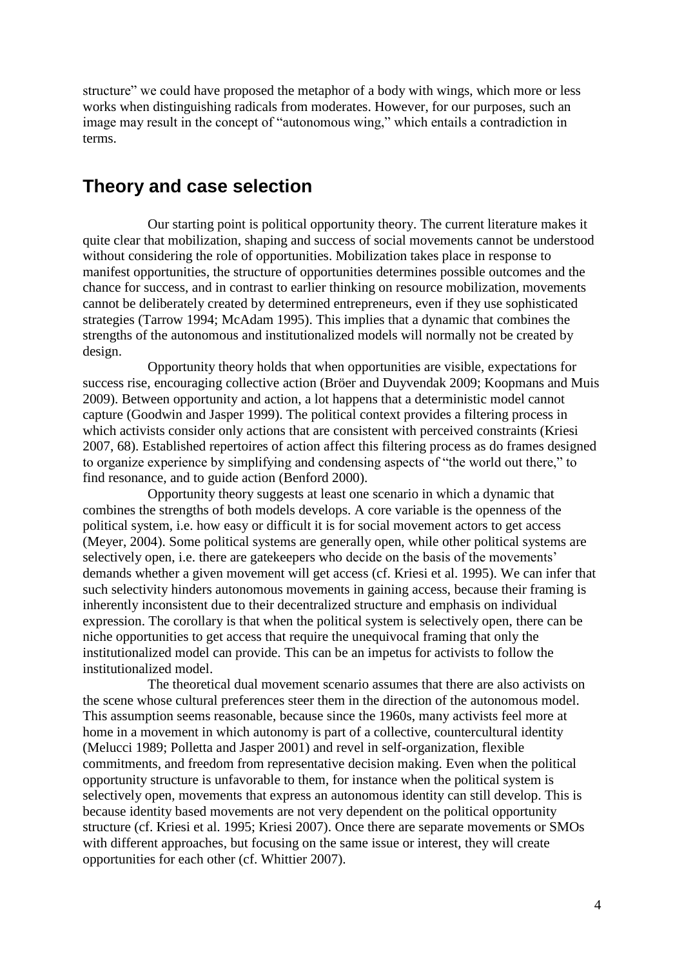structure" we could have proposed the metaphor of a body with wings, which more or less works when distinguishing radicals from moderates. However, for our purposes, such an image may result in the concept of "autonomous wing," which entails a contradiction in terms.

### **Theory and case selection**

Our starting point is political opportunity theory. The current literature makes it quite clear that mobilization, shaping and success of social movements cannot be understood without considering the role of opportunities. Mobilization takes place in response to manifest opportunities, the structure of opportunities determines possible outcomes and the chance for success, and in contrast to earlier thinking on resource mobilization, movements cannot be deliberately created by determined entrepreneurs, even if they use sophisticated strategies (Tarrow 1994; McAdam 1995). This implies that a dynamic that combines the strengths of the autonomous and institutionalized models will normally not be created by design.

Opportunity theory holds that when opportunities are visible, expectations for success rise, encouraging collective action (Bröer and Duyvendak 2009; Koopmans and Muis 2009). Between opportunity and action, a lot happens that a deterministic model cannot capture (Goodwin and Jasper 1999). The political context provides a filtering process in which activists consider only actions that are consistent with perceived constraints (Kriesi 2007, 68). Established repertoires of action affect this filtering process as do frames designed to organize experience by simplifying and condensing aspects of "the world out there," to find resonance, and to guide action (Benford 2000).

Opportunity theory suggests at least one scenario in which a dynamic that combines the strengths of both models develops. A core variable is the openness of the political system, i.e. how easy or difficult it is for social movement actors to get access (Meyer, 2004). Some political systems are generally open, while other political systems are selectively open, i.e. there are gatekeepers who decide on the basis of the movements' demands whether a given movement will get access (cf. Kriesi et al. 1995). We can infer that such selectivity hinders autonomous movements in gaining access, because their framing is inherently inconsistent due to their decentralized structure and emphasis on individual expression. The corollary is that when the political system is selectively open, there can be niche opportunities to get access that require the unequivocal framing that only the institutionalized model can provide. This can be an impetus for activists to follow the institutionalized model.

The theoretical dual movement scenario assumes that there are also activists on the scene whose cultural preferences steer them in the direction of the autonomous model. This assumption seems reasonable, because since the 1960s, many activists feel more at home in a movement in which autonomy is part of a collective, countercultural identity (Melucci 1989; Polletta and Jasper 2001) and revel in self-organization, flexible commitments, and freedom from representative decision making. Even when the political opportunity structure is unfavorable to them, for instance when the political system is selectively open, movements that express an autonomous identity can still develop. This is because identity based movements are not very dependent on the political opportunity structure (cf. Kriesi et al. 1995; Kriesi 2007). Once there are separate movements or SMOs with different approaches, but focusing on the same issue or interest, they will create opportunities for each other (cf. Whittier 2007).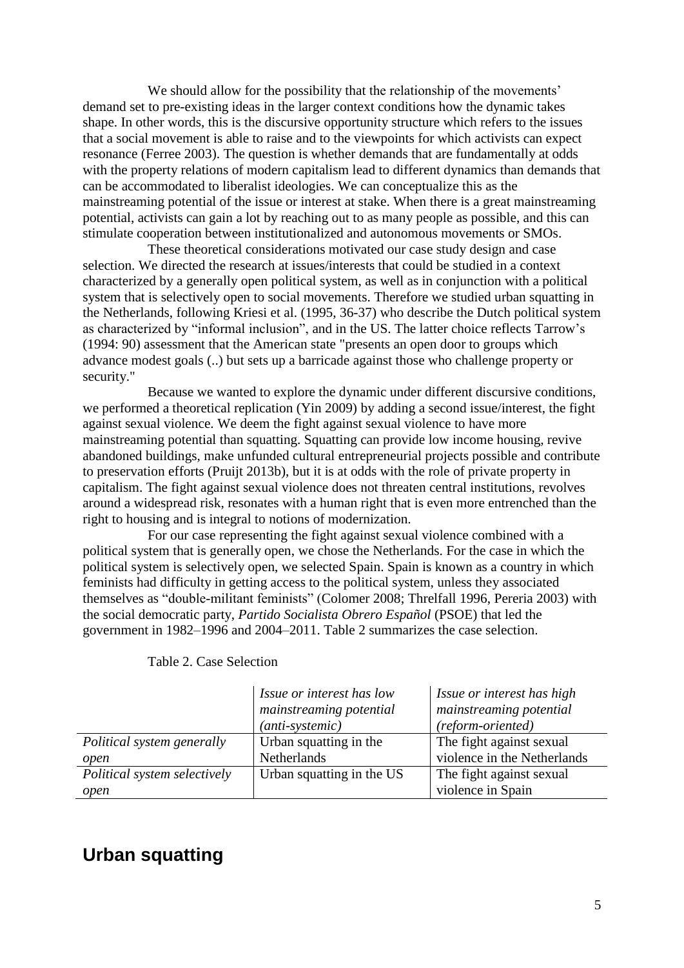We should allow for the possibility that the relationship of the movements' demand set to pre-existing ideas in the larger context conditions how the dynamic takes shape. In other words, this is the discursive opportunity structure which refers to the issues that a social movement is able to raise and to the viewpoints for which activists can expect resonance (Ferree 2003). The question is whether demands that are fundamentally at odds with the property relations of modern capitalism lead to different dynamics than demands that can be accommodated to liberalist ideologies. We can conceptualize this as the mainstreaming potential of the issue or interest at stake. When there is a great mainstreaming potential, activists can gain a lot by reaching out to as many people as possible, and this can stimulate cooperation between institutionalized and autonomous movements or SMOs.

These theoretical considerations motivated our case study design and case selection. We directed the research at issues/interests that could be studied in a context characterized by a generally open political system, as well as in conjunction with a political system that is selectively open to social movements. Therefore we studied urban squatting in the Netherlands, following Kriesi et al. (1995, 36-37) who describe the Dutch political system as characterized by "informal inclusion", and in the US. The latter choice reflects Tarrow's (1994: 90) assessment that the American state "presents an open door to groups which advance modest goals (..) but sets up a barricade against those who challenge property or security."

Because we wanted to explore the dynamic under different discursive conditions, we performed a theoretical replication (Yin 2009) by adding a second issue/interest, the fight against sexual violence. We deem the fight against sexual violence to have more mainstreaming potential than squatting. Squatting can provide low income housing, revive abandoned buildings, make unfunded cultural entrepreneurial projects possible and contribute to preservation efforts (Pruijt 2013b), but it is at odds with the role of private property in capitalism. The fight against sexual violence does not threaten central institutions, revolves around a widespread risk, resonates with a human right that is even more entrenched than the right to housing and is integral to notions of modernization.

For our case representing the fight against sexual violence combined with a political system that is generally open, we chose the Netherlands. For the case in which the political system is selectively open, we selected Spain. Spain is known as a country in which feminists had difficulty in getting access to the political system, unless they associated themselves as "double-militant feminists" (Colomer 2008; Threlfall 1996, Pereria 2003) with the social democratic party, *Partido Socialista Obrero Español* (PSOE) that led the government in 1982–1996 and 2004–2011. Table 2 summarizes the case selection.

|  | Table 2. Case Selection |  |
|--|-------------------------|--|
|  |                         |  |

|                              | Issue or interest has low | Issue or interest has high  |
|------------------------------|---------------------------|-----------------------------|
|                              | mainstreaming potential   | mainstreaming potential     |
|                              | (anti-systemic)           | (reform-oriented)           |
| Political system generally   | Urban squatting in the    | The fight against sexual    |
| open                         | <b>Netherlands</b>        | violence in the Netherlands |
| Political system selectively | Urban squatting in the US | The fight against sexual    |
| open                         |                           | violence in Spain           |

## **Urban squatting**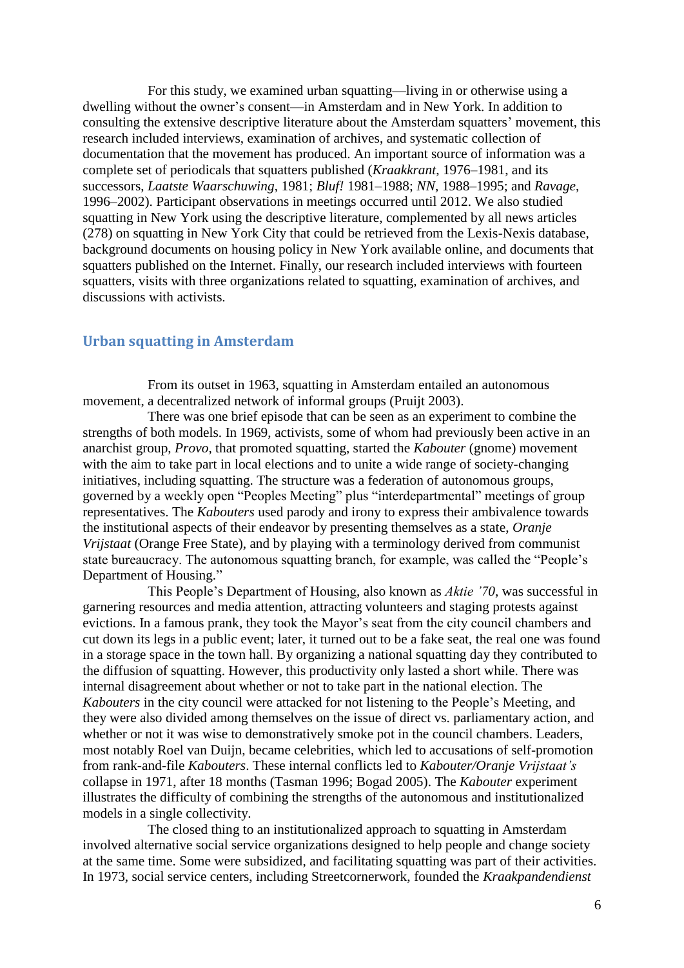For this study, we examined urban squatting—living in or otherwise using a dwelling without the owner's consent—in Amsterdam and in New York. In addition to consulting the extensive descriptive literature about the Amsterdam squatters' movement, this research included interviews, examination of archives, and systematic collection of documentation that the movement has produced. An important source of information was a complete set of periodicals that squatters published (*Kraakkrant*, 1976–1981, and its successors, *Laatste Waarschuwing*, 1981; *Bluf!* 1981–1988; *NN*, 1988–1995; and *Ravage*, 1996–2002). Participant observations in meetings occurred until 2012. We also studied squatting in New York using the descriptive literature, complemented by all news articles (278) on squatting in New York City that could be retrieved from the Lexis-Nexis database, background documents on housing policy in New York available online, and documents that squatters published on the Internet. Finally, our research included interviews with fourteen squatters, visits with three organizations related to squatting, examination of archives, and discussions with activists.

#### **Urban squatting in Amsterdam**

From its outset in 1963, squatting in Amsterdam entailed an autonomous movement, a decentralized network of informal groups (Pruijt 2003).

There was one brief episode that can be seen as an experiment to combine the strengths of both models. In 1969, activists, some of whom had previously been active in an anarchist group, *Provo,* that promoted squatting, started the *Kabouter* (gnome) movement with the aim to take part in local elections and to unite a wide range of society-changing initiatives, including squatting. The structure was a federation of autonomous groups, governed by a weekly open "Peoples Meeting" plus "interdepartmental" meetings of group representatives. The *Kabouters* used parody and irony to express their ambivalence towards the institutional aspects of their endeavor by presenting themselves as a state, *Oranje Vrijstaat* (Orange Free State), and by playing with a terminology derived from communist state bureaucracy. The autonomous squatting branch, for example, was called the "People's Department of Housing."

This People's Department of Housing, also known as *Aktie '70*, was successful in garnering resources and media attention, attracting volunteers and staging protests against evictions. In a famous prank, they took the Mayor's seat from the city council chambers and cut down its legs in a public event; later, it turned out to be a fake seat, the real one was found in a storage space in the town hall. By organizing a national squatting day they contributed to the diffusion of squatting. However, this productivity only lasted a short while. There was internal disagreement about whether or not to take part in the national election. The *Kabouters* in the city council were attacked for not listening to the People's Meeting, and they were also divided among themselves on the issue of direct vs. parliamentary action, and whether or not it was wise to demonstratively smoke pot in the council chambers. Leaders, most notably Roel van Duijn, became celebrities, which led to accusations of self-promotion from rank-and-file *Kabouters*. These internal conflicts led to *Kabouter/Oranje Vrijstaat's* collapse in 1971, after 18 months (Tasman 1996; Bogad 2005). The *Kabouter* experiment illustrates the difficulty of combining the strengths of the autonomous and institutionalized models in a single collectivity.

The closed thing to an institutionalized approach to squatting in Amsterdam involved alternative social service organizations designed to help people and change society at the same time. Some were subsidized, and facilitating squatting was part of their activities. In 1973, social service centers, including Streetcornerwork, founded the *Kraakpandendienst*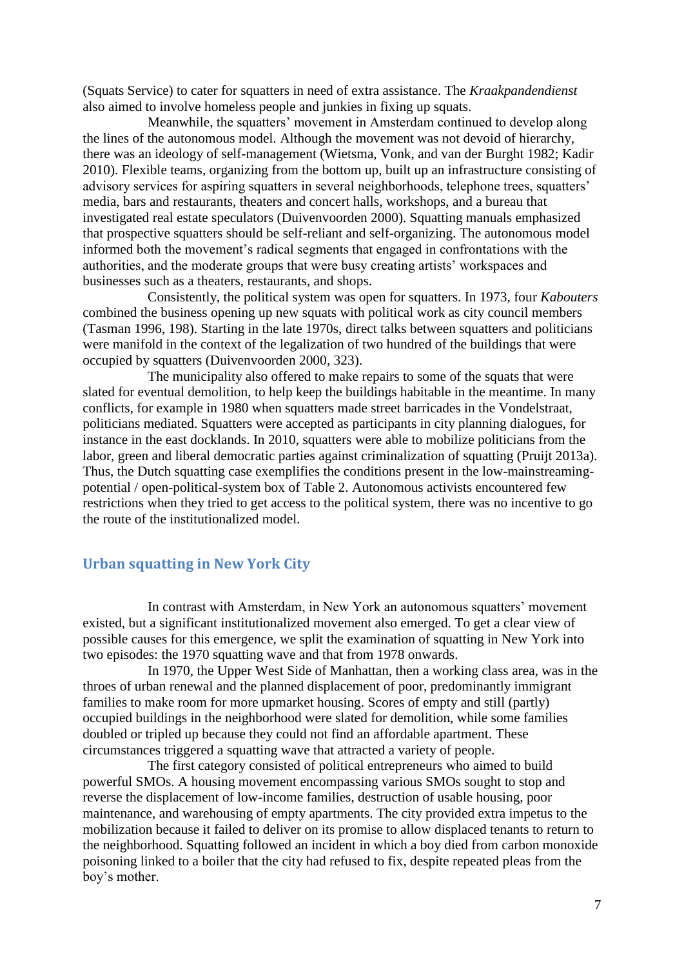(Squats Service) to cater for squatters in need of extra assistance. The *Kraakpandendienst* also aimed to involve homeless people and junkies in fixing up squats.

Meanwhile, the squatters' movement in Amsterdam continued to develop along the lines of the autonomous model. Although the movement was not devoid of hierarchy, there was an ideology of self-management (Wietsma, Vonk, and van der Burght 1982; Kadir 2010). Flexible teams, organizing from the bottom up, built up an infrastructure consisting of advisory services for aspiring squatters in several neighborhoods, telephone trees, squatters' media, bars and restaurants, theaters and concert halls, workshops, and a bureau that investigated real estate speculators (Duivenvoorden 2000). Squatting manuals emphasized that prospective squatters should be self-reliant and self-organizing. The autonomous model informed both the movement's radical segments that engaged in confrontations with the authorities, and the moderate groups that were busy creating artists' workspaces and businesses such as a theaters, restaurants, and shops.

Consistently, the political system was open for squatters. In 1973, four *Kabouters* combined the business opening up new squats with political work as city council members (Tasman 1996, 198). Starting in the late 1970s, direct talks between squatters and politicians were manifold in the context of the legalization of two hundred of the buildings that were occupied by squatters (Duivenvoorden 2000, 323).

The municipality also offered to make repairs to some of the squats that were slated for eventual demolition, to help keep the buildings habitable in the meantime. In many conflicts, for example in 1980 when squatters made street barricades in the Vondelstraat, politicians mediated. Squatters were accepted as participants in city planning dialogues, for instance in the east docklands. In 2010, squatters were able to mobilize politicians from the labor, green and liberal democratic parties against criminalization of squatting (Pruijt 2013a). Thus, the Dutch squatting case exemplifies the conditions present in the low-mainstreamingpotential / open-political-system box of Table 2. Autonomous activists encountered few restrictions when they tried to get access to the political system, there was no incentive to go the route of the institutionalized model.

#### **Urban squatting in New York City**

In contrast with Amsterdam, in New York an autonomous squatters' movement existed, but a significant institutionalized movement also emerged. To get a clear view of possible causes for this emergence, we split the examination of squatting in New York into two episodes: the 1970 squatting wave and that from 1978 onwards.

In 1970, the Upper West Side of Manhattan, then a working class area, was in the throes of urban renewal and the planned displacement of poor, predominantly immigrant families to make room for more upmarket housing. Scores of empty and still (partly) occupied buildings in the neighborhood were slated for demolition, while some families doubled or tripled up because they could not find an affordable apartment. These circumstances triggered a squatting wave that attracted a variety of people.

The first category consisted of political entrepreneurs who aimed to build powerful SMOs. A housing movement encompassing various SMOs sought to stop and reverse the displacement of low-income families, destruction of usable housing, poor maintenance, and warehousing of empty apartments. The city provided extra impetus to the mobilization because it failed to deliver on its promise to allow displaced tenants to return to the neighborhood. Squatting followed an incident in which a boy died from carbon monoxide poisoning linked to a boiler that the city had refused to fix, despite repeated pleas from the boy's mother.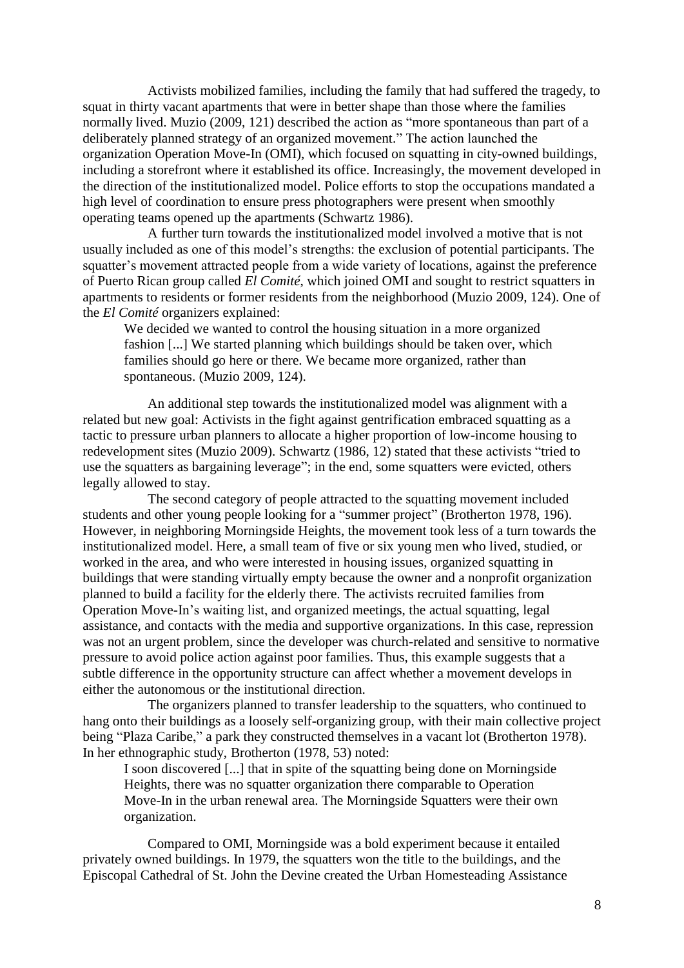Activists mobilized families, including the family that had suffered the tragedy, to squat in thirty vacant apartments that were in better shape than those where the families normally lived. Muzio  $(2009, 121)$  described the action as "more spontaneous than part of a deliberately planned strategy of an organized movement." The action launched the organization Operation Move-In (OMI), which focused on squatting in city-owned buildings, including a storefront where it established its office. Increasingly, the movement developed in the direction of the institutionalized model. Police efforts to stop the occupations mandated a high level of coordination to ensure press photographers were present when smoothly operating teams opened up the apartments (Schwartz 1986).

A further turn towards the institutionalized model involved a motive that is not usually included as one of this model's strengths: the exclusion of potential participants. The squatter's movement attracted people from a wide variety of locations, against the preference of Puerto Rican group called *El Comité*, which joined OMI and sought to restrict squatters in apartments to residents or former residents from the neighborhood (Muzio 2009, 124). One of the *El Comité* organizers explained:

We decided we wanted to control the housing situation in a more organized fashion [...] We started planning which buildings should be taken over, which families should go here or there. We became more organized, rather than spontaneous. (Muzio 2009, 124).

An additional step towards the institutionalized model was alignment with a related but new goal: Activists in the fight against gentrification embraced squatting as a tactic to pressure urban planners to allocate a higher proportion of low-income housing to redevelopment sites (Muzio 2009). Schwartz (1986, 12) stated that these activists "tried to use the squatters as bargaining leverage"; in the end, some squatters were evicted, others legally allowed to stay.

The second category of people attracted to the squatting movement included students and other young people looking for a "summer project" (Brotherton 1978, 196). However, in neighboring Morningside Heights, the movement took less of a turn towards the institutionalized model. Here, a small team of five or six young men who lived, studied, or worked in the area, and who were interested in housing issues, organized squatting in buildings that were standing virtually empty because the owner and a nonprofit organization planned to build a facility for the elderly there. The activists recruited families from Operation Move-In's waiting list, and organized meetings, the actual squatting, legal assistance, and contacts with the media and supportive organizations. In this case, repression was not an urgent problem, since the developer was church-related and sensitive to normative pressure to avoid police action against poor families. Thus, this example suggests that a subtle difference in the opportunity structure can affect whether a movement develops in either the autonomous or the institutional direction.

The organizers planned to transfer leadership to the squatters, who continued to hang onto their buildings as a loosely self-organizing group, with their main collective project being "Plaza Caribe," a park they constructed themselves in a vacant lot (Brotherton 1978). In her ethnographic study, Brotherton (1978, 53) noted:

I soon discovered [...] that in spite of the squatting being done on Morningside Heights, there was no squatter organization there comparable to Operation Move-In in the urban renewal area. The Morningside Squatters were their own organization.

Compared to OMI, Morningside was a bold experiment because it entailed privately owned buildings. In 1979, the squatters won the title to the buildings, and the Episcopal Cathedral of St. John the Devine created the Urban Homesteading Assistance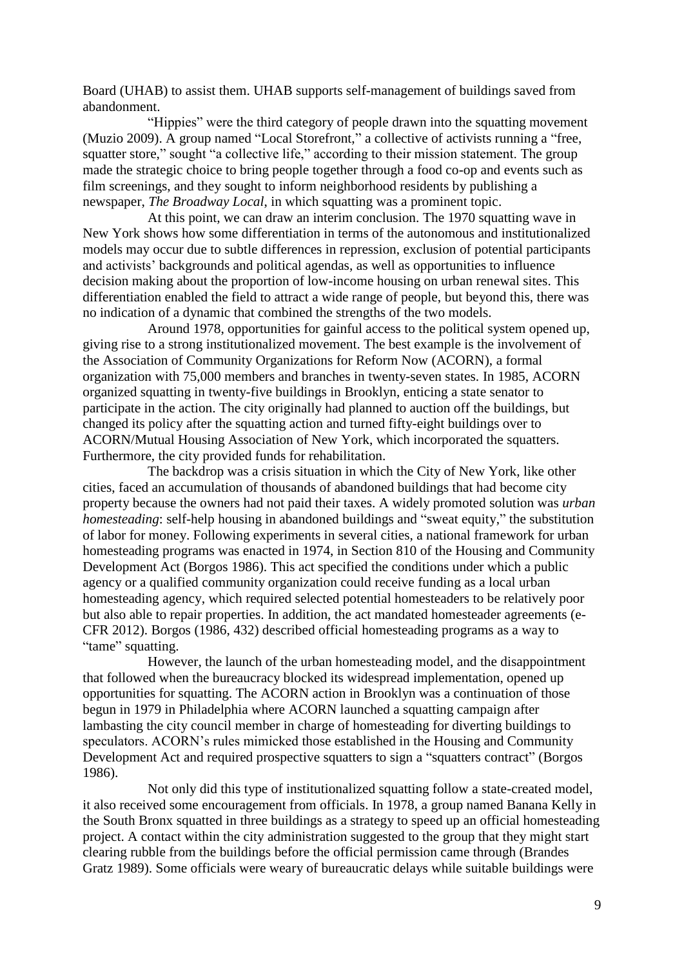Board (UHAB) to assist them. UHAB supports self-management of buildings saved from abandonment.

"Hippies" were the third category of people drawn into the squatting movement (Muzio 2009). A group named "Local Storefront," a collective of activists running a "free, squatter store," sought "a collective life," according to their mission statement. The group made the strategic choice to bring people together through a food co-op and events such as film screenings, and they sought to inform neighborhood residents by publishing a newspaper, *The Broadway Local*, in which squatting was a prominent topic.

At this point, we can draw an interim conclusion. The 1970 squatting wave in New York shows how some differentiation in terms of the autonomous and institutionalized models may occur due to subtle differences in repression, exclusion of potential participants and activists' backgrounds and political agendas, as well as opportunities to influence decision making about the proportion of low-income housing on urban renewal sites. This differentiation enabled the field to attract a wide range of people, but beyond this, there was no indication of a dynamic that combined the strengths of the two models.

Around 1978, opportunities for gainful access to the political system opened up, giving rise to a strong institutionalized movement. The best example is the involvement of the Association of Community Organizations for Reform Now (ACORN), a formal organization with 75,000 members and branches in twenty-seven states. In 1985, ACORN organized squatting in twenty-five buildings in Brooklyn, enticing a state senator to participate in the action. The city originally had planned to auction off the buildings, but changed its policy after the squatting action and turned fifty-eight buildings over to ACORN/Mutual Housing Association of New York, which incorporated the squatters. Furthermore, the city provided funds for rehabilitation.

The backdrop was a crisis situation in which the City of New York, like other cities, faced an accumulation of thousands of abandoned buildings that had become city property because the owners had not paid their taxes. A widely promoted solution was *urban homesteading*: self-help housing in abandoned buildings and "sweat equity," the substitution of labor for money. Following experiments in several cities, a national framework for urban homesteading programs was enacted in 1974, in Section 810 of the Housing and Community Development Act (Borgos 1986). This act specified the conditions under which a public agency or a qualified community organization could receive funding as a local urban homesteading agency, which required selected potential homesteaders to be relatively poor but also able to repair properties. In addition, the act mandated homesteader agreements (e-CFR 2012). Borgos (1986, 432) described official homesteading programs as a way to "tame" squatting.

However, the launch of the urban homesteading model, and the disappointment that followed when the bureaucracy blocked its widespread implementation, opened up opportunities for squatting. The ACORN action in Brooklyn was a continuation of those begun in 1979 in Philadelphia where ACORN launched a squatting campaign after lambasting the city council member in charge of homesteading for diverting buildings to speculators. ACORN's rules mimicked those established in the Housing and Community Development Act and required prospective squatters to sign a "squatters contract" (Borgos 1986).

Not only did this type of institutionalized squatting follow a state-created model, it also received some encouragement from officials. In 1978, a group named Banana Kelly in the South Bronx squatted in three buildings as a strategy to speed up an official homesteading project. A contact within the city administration suggested to the group that they might start clearing rubble from the buildings before the official permission came through (Brandes Gratz 1989). Some officials were weary of bureaucratic delays while suitable buildings were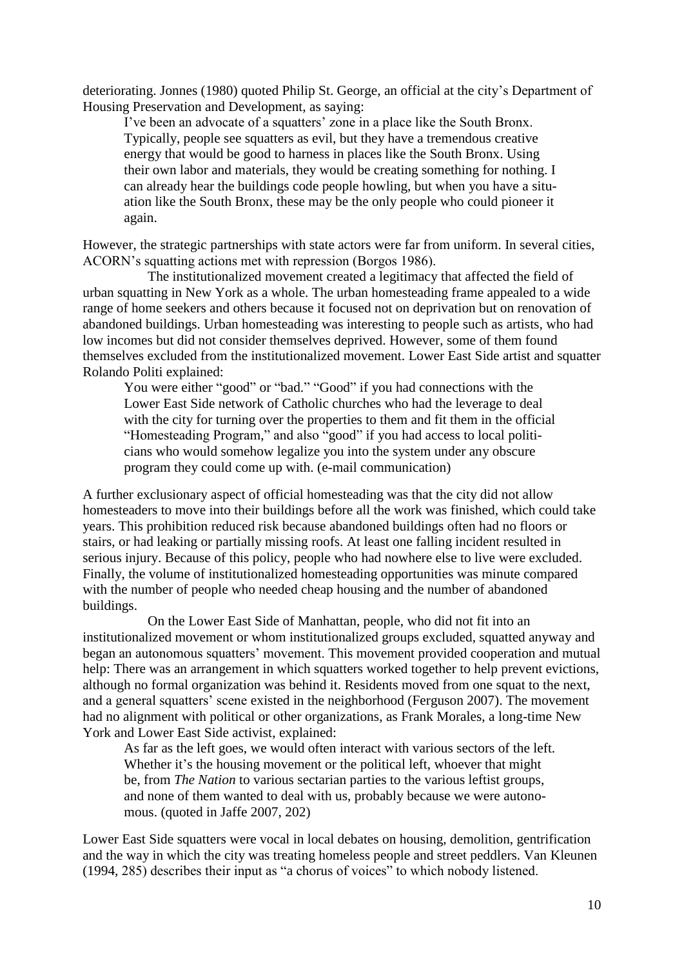deteriorating. Jonnes (1980) quoted Philip St. George, an official at the city's Department of Housing Preservation and Development, as saying:

I've been an advocate of a squatters' zone in a place like the South Bronx. Typically, people see squatters as evil, but they have a tremendous creative energy that would be good to harness in places like the South Bronx. Using their own labor and materials, they would be creating something for nothing. I can already hear the buildings code people howling, but when you have a situation like the South Bronx, these may be the only people who could pioneer it again.

However, the strategic partnerships with state actors were far from uniform. In several cities, ACORN's squatting actions met with repression (Borgos 1986).

The institutionalized movement created a legitimacy that affected the field of urban squatting in New York as a whole. The urban homesteading frame appealed to a wide range of home seekers and others because it focused not on deprivation but on renovation of abandoned buildings. Urban homesteading was interesting to people such as artists, who had low incomes but did not consider themselves deprived. However, some of them found themselves excluded from the institutionalized movement. Lower East Side artist and squatter Rolando Politi explained:

You were either "good" or "bad." "Good" if you had connections with the Lower East Side network of Catholic churches who had the leverage to deal with the city for turning over the properties to them and fit them in the official "Homesteading Program," and also "good" if you had access to local politicians who would somehow legalize you into the system under any obscure program they could come up with. (e-mail communication)

A further exclusionary aspect of official homesteading was that the city did not allow homesteaders to move into their buildings before all the work was finished, which could take years. This prohibition reduced risk because abandoned buildings often had no floors or stairs, or had leaking or partially missing roofs. At least one falling incident resulted in serious injury. Because of this policy, people who had nowhere else to live were excluded. Finally, the volume of institutionalized homesteading opportunities was minute compared with the number of people who needed cheap housing and the number of abandoned buildings.

On the Lower East Side of Manhattan, people, who did not fit into an institutionalized movement or whom institutionalized groups excluded, squatted anyway and began an autonomous squatters' movement. This movement provided cooperation and mutual help: There was an arrangement in which squatters worked together to help prevent evictions, although no formal organization was behind it. Residents moved from one squat to the next, and a general squatters' scene existed in the neighborhood (Ferguson 2007). The movement had no alignment with political or other organizations, as Frank Morales, a long-time New York and Lower East Side activist, explained:

As far as the left goes, we would often interact with various sectors of the left. Whether it's the housing movement or the political left, whoever that might be, from *The Nation* to various sectarian parties to the various leftist groups, and none of them wanted to deal with us, probably because we were autonomous. (quoted in Jaffe 2007, 202)

Lower East Side squatters were vocal in local debates on housing, demolition, gentrification and the way in which the city was treating homeless people and street peddlers. Van Kleunen  $(1994, 285)$  describes their input as "a chorus of voices" to which nobody listened.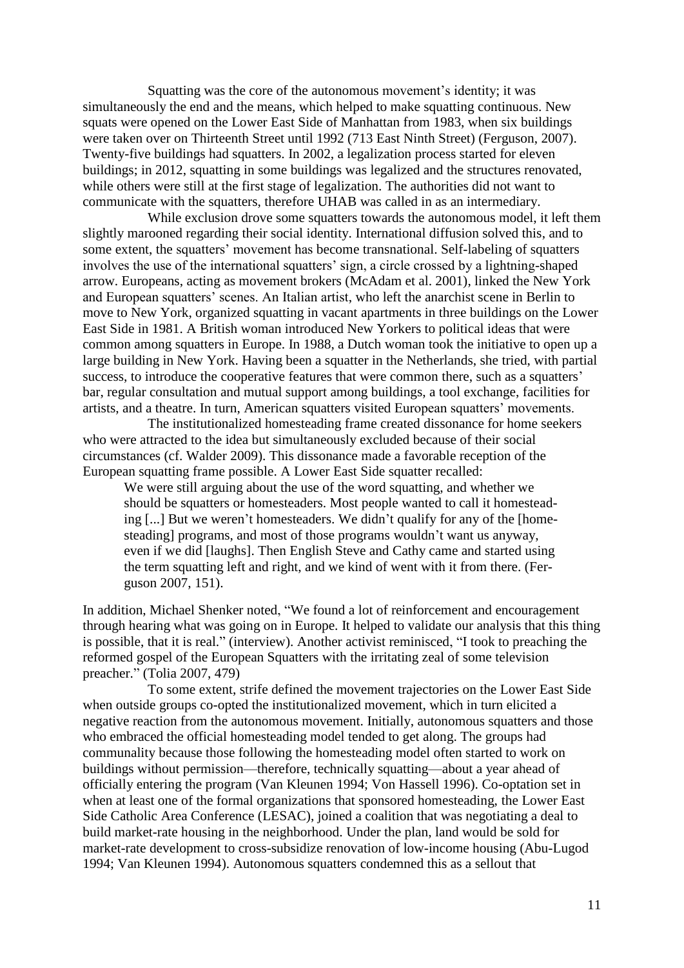Squatting was the core of the autonomous movement's identity; it was simultaneously the end and the means, which helped to make squatting continuous. New squats were opened on the Lower East Side of Manhattan from 1983, when six buildings were taken over on Thirteenth Street until 1992 (713 East Ninth Street) (Ferguson, 2007). Twenty-five buildings had squatters. In 2002, a legalization process started for eleven buildings; in 2012, squatting in some buildings was legalized and the structures renovated, while others were still at the first stage of legalization. The authorities did not want to communicate with the squatters, therefore UHAB was called in as an intermediary.

While exclusion drove some squatters towards the autonomous model, it left them slightly marooned regarding their social identity. International diffusion solved this, and to some extent, the squatters' movement has become transnational. Self-labeling of squatters involves the use of the international squatters' sign, a circle crossed by a lightning-shaped arrow. Europeans, acting as movement brokers (McAdam et al. 2001), linked the New York and European squatters' scenes. An Italian artist, who left the anarchist scene in Berlin to move to New York, organized squatting in vacant apartments in three buildings on the Lower East Side in 1981. A British woman introduced New Yorkers to political ideas that were common among squatters in Europe. In 1988, a Dutch woman took the initiative to open up a large building in New York. Having been a squatter in the Netherlands, she tried, with partial success, to introduce the cooperative features that were common there, such as a squatters' bar, regular consultation and mutual support among buildings, a tool exchange, facilities for artists, and a theatre. In turn, American squatters visited European squatters' movements.

The institutionalized homesteading frame created dissonance for home seekers who were attracted to the idea but simultaneously excluded because of their social circumstances (cf. Walder 2009). This dissonance made a favorable reception of the European squatting frame possible. A Lower East Side squatter recalled:

We were still arguing about the use of the word squatting, and whether we should be squatters or homesteaders. Most people wanted to call it homesteading [...] But we weren't homesteaders. We didn't qualify for any of the [homesteading] programs, and most of those programs wouldn't want us anyway, even if we did [laughs]. Then English Steve and Cathy came and started using the term squatting left and right, and we kind of went with it from there. (Ferguson 2007, 151).

In addition, Michael Shenker noted, "We found a lot of reinforcement and encouragement through hearing what was going on in Europe. It helped to validate our analysis that this thing is possible, that it is real." (interview). Another activist reminisced, "I took to preaching the reformed gospel of the European Squatters with the irritating zeal of some television preacher.‖ (Tolia 2007, 479)

To some extent, strife defined the movement trajectories on the Lower East Side when outside groups co-opted the institutionalized movement, which in turn elicited a negative reaction from the autonomous movement. Initially, autonomous squatters and those who embraced the official homesteading model tended to get along. The groups had communality because those following the homesteading model often started to work on buildings without permission—therefore, technically squatting—about a year ahead of officially entering the program (Van Kleunen 1994; Von Hassell 1996). Co-optation set in when at least one of the formal organizations that sponsored homesteading, the Lower East Side Catholic Area Conference (LESAC), joined a coalition that was negotiating a deal to build market-rate housing in the neighborhood. Under the plan, land would be sold for market-rate development to cross-subsidize renovation of low-income housing (Abu-Lugod 1994; Van Kleunen 1994). Autonomous squatters condemned this as a sellout that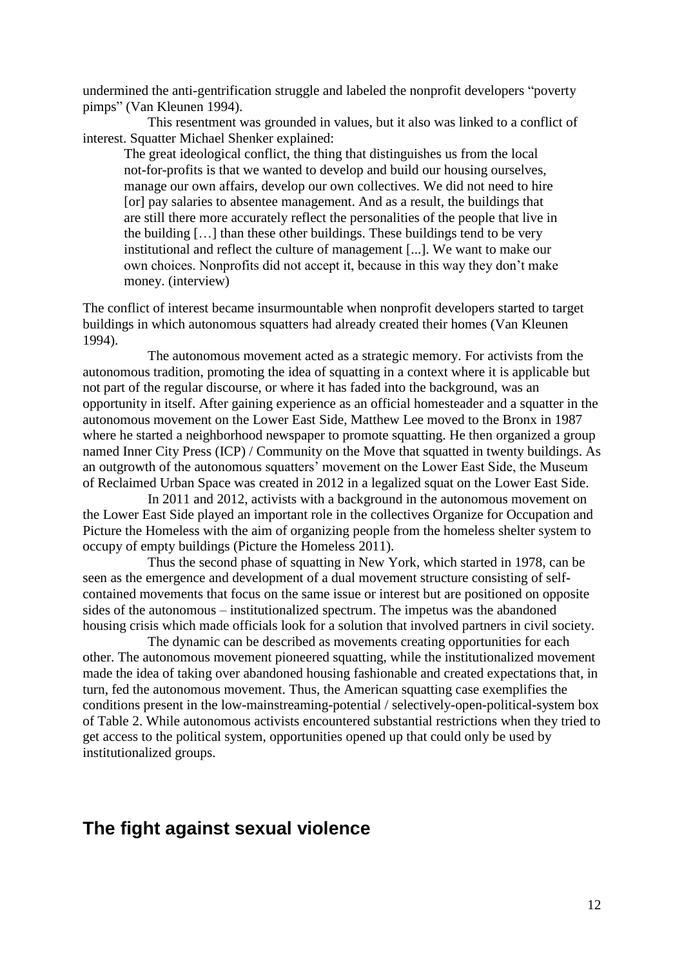undermined the anti-gentrification struggle and labeled the nonprofit developers "poverty" pimps" (Van Kleunen 1994).

This resentment was grounded in values, but it also was linked to a conflict of interest. Squatter Michael Shenker explained:

The great ideological conflict, the thing that distinguishes us from the local not-for-profits is that we wanted to develop and build our housing ourselves, manage our own affairs, develop our own collectives. We did not need to hire [or] pay salaries to absentee management. And as a result, the buildings that are still there more accurately reflect the personalities of the people that live in the building […] than these other buildings. These buildings tend to be very institutional and reflect the culture of management [...]. We want to make our own choices. Nonprofits did not accept it, because in this way they don't make money. (interview)

The conflict of interest became insurmountable when nonprofit developers started to target buildings in which autonomous squatters had already created their homes (Van Kleunen 1994).

The autonomous movement acted as a strategic memory. For activists from the autonomous tradition, promoting the idea of squatting in a context where it is applicable but not part of the regular discourse, or where it has faded into the background, was an opportunity in itself. After gaining experience as an official homesteader and a squatter in the autonomous movement on the Lower East Side, Matthew Lee moved to the Bronx in 1987 where he started a neighborhood newspaper to promote squatting. He then organized a group named Inner City Press (ICP) / Community on the Move that squatted in twenty buildings. As an outgrowth of the autonomous squatters' movement on the Lower East Side, the Museum of Reclaimed Urban Space was created in 2012 in a legalized squat on the Lower East Side.

In 2011 and 2012, activists with a background in the autonomous movement on the Lower East Side played an important role in the collectives Organize for Occupation and Picture the Homeless with the aim of organizing people from the homeless shelter system to occupy of empty buildings (Picture the Homeless 2011).

Thus the second phase of squatting in New York, which started in 1978, can be seen as the emergence and development of a dual movement structure consisting of selfcontained movements that focus on the same issue or interest but are positioned on opposite sides of the autonomous – institutionalized spectrum. The impetus was the abandoned housing crisis which made officials look for a solution that involved partners in civil society.

The dynamic can be described as movements creating opportunities for each other. The autonomous movement pioneered squatting, while the institutionalized movement made the idea of taking over abandoned housing fashionable and created expectations that, in turn, fed the autonomous movement. Thus, the American squatting case exemplifies the conditions present in the low-mainstreaming-potential / selectively-open-political-system box of Table 2. While autonomous activists encountered substantial restrictions when they tried to get access to the political system, opportunities opened up that could only be used by institutionalized groups.

### **The fight against sexual violence**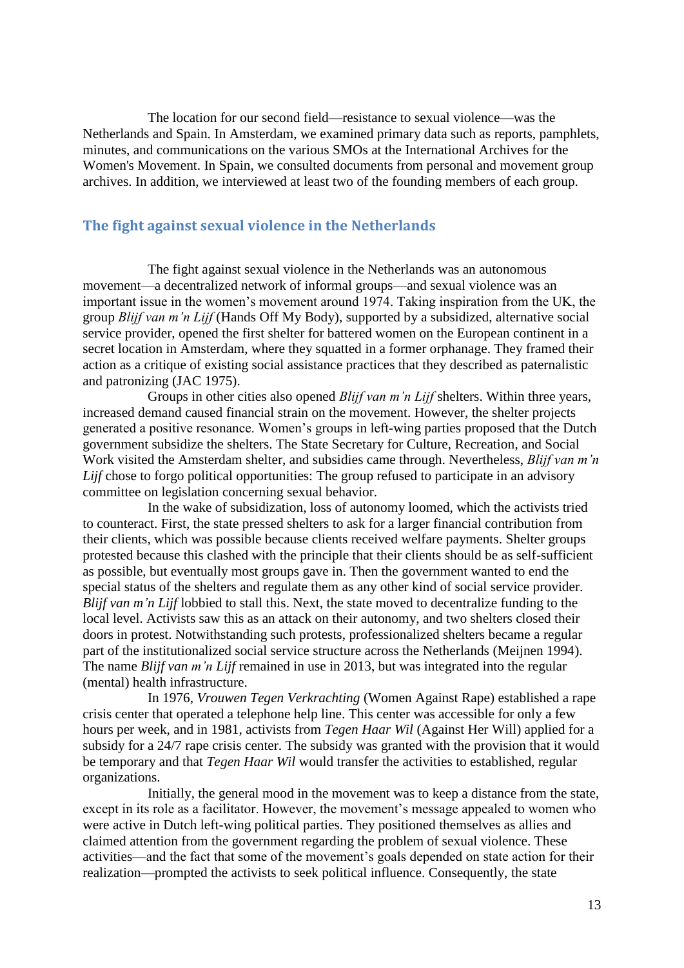The location for our second field—resistance to sexual violence—was the Netherlands and Spain. In Amsterdam, we examined primary data such as reports, pamphlets, minutes, and communications on the various SMOs at the International Archives for the Women's Movement. In Spain, we consulted documents from personal and movement group archives. In addition, we interviewed at least two of the founding members of each group.

#### **The fight against sexual violence in the Netherlands**

The fight against sexual violence in the Netherlands was an autonomous movement—a decentralized network of informal groups—and sexual violence was an important issue in the women's movement around 1974. Taking inspiration from the UK, the group *Blijf van m'n Lijf* (Hands Off My Body), supported by a subsidized, alternative social service provider, opened the first shelter for battered women on the European continent in a secret location in Amsterdam, where they squatted in a former orphanage. They framed their action as a critique of existing social assistance practices that they described as paternalistic and patronizing (JAC 1975).

Groups in other cities also opened *Blijf van m'n Lijf* shelters. Within three years, increased demand caused financial strain on the movement. However, the shelter projects generated a positive resonance. Women's groups in left-wing parties proposed that the Dutch government subsidize the shelters. The State Secretary for Culture, Recreation, and Social Work visited the Amsterdam shelter, and subsidies came through. Nevertheless, *Blijf van m'n Lijf* chose to forgo political opportunities: The group refused to participate in an advisory committee on legislation concerning sexual behavior.

In the wake of subsidization, loss of autonomy loomed, which the activists tried to counteract. First, the state pressed shelters to ask for a larger financial contribution from their clients, which was possible because clients received welfare payments. Shelter groups protested because this clashed with the principle that their clients should be as self-sufficient as possible, but eventually most groups gave in. Then the government wanted to end the special status of the shelters and regulate them as any other kind of social service provider. *Blijf van m'n Lijf* lobbied to stall this. Next, the state moved to decentralize funding to the local level. Activists saw this as an attack on their autonomy, and two shelters closed their doors in protest. Notwithstanding such protests, professionalized shelters became a regular part of the institutionalized social service structure across the Netherlands (Meijnen 1994). The name *Blijf van m'n Lijf* remained in use in 2013, but was integrated into the regular (mental) health infrastructure.

In 1976, *Vrouwen Tegen Verkrachting* (Women Against Rape) established a rape crisis center that operated a telephone help line. This center was accessible for only a few hours per week, and in 1981, activists from *Tegen Haar Wil* (Against Her Will) applied for a subsidy for a 24/7 rape crisis center. The subsidy was granted with the provision that it would be temporary and that *Tegen Haar Wil* would transfer the activities to established, regular organizations.

Initially, the general mood in the movement was to keep a distance from the state, except in its role as a facilitator. However, the movement's message appealed to women who were active in Dutch left-wing political parties. They positioned themselves as allies and claimed attention from the government regarding the problem of sexual violence. These activities—and the fact that some of the movement's goals depended on state action for their realization—prompted the activists to seek political influence. Consequently, the state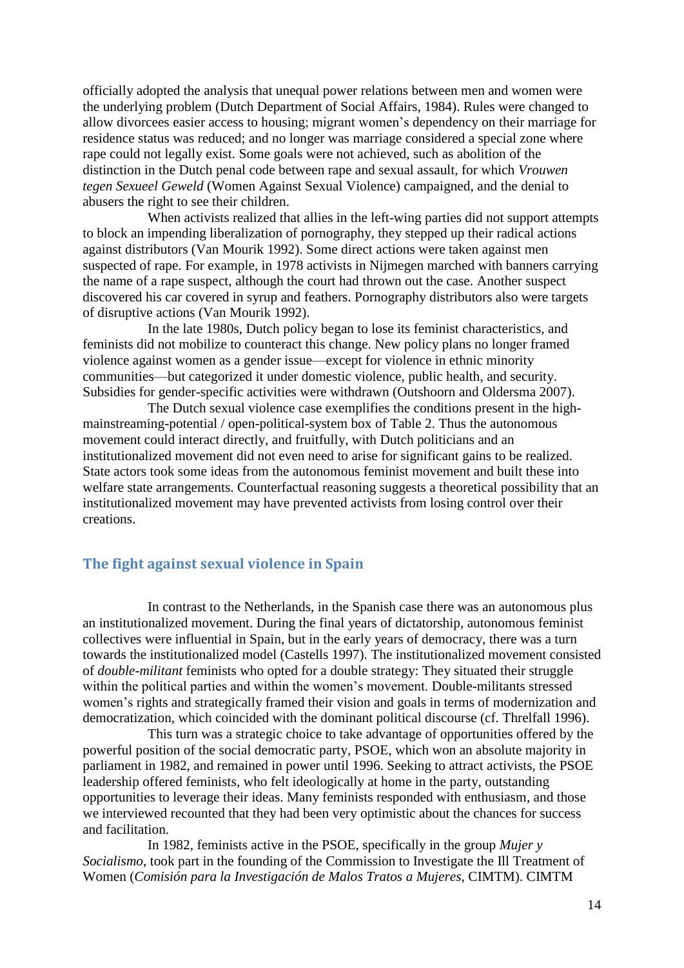officially adopted the analysis that unequal power relations between men and women were the underlying problem (Dutch Department of Social Affairs, 1984). Rules were changed to allow divorcees easier access to housing; migrant women's dependency on their marriage for residence status was reduced; and no longer was marriage considered a special zone where rape could not legally exist. Some goals were not achieved, such as abolition of the distinction in the Dutch penal code between rape and sexual assault, for which *Vrouwen tegen Sexueel Geweld* (Women Against Sexual Violence) campaigned, and the denial to abusers the right to see their children.

When activists realized that allies in the left-wing parties did not support attempts to block an impending liberalization of pornography, they stepped up their radical actions against distributors (Van Mourik 1992). Some direct actions were taken against men suspected of rape. For example, in 1978 activists in Nijmegen marched with banners carrying the name of a rape suspect, although the court had thrown out the case. Another suspect discovered his car covered in syrup and feathers. Pornography distributors also were targets of disruptive actions (Van Mourik 1992).

In the late 1980s, Dutch policy began to lose its feminist characteristics, and feminists did not mobilize to counteract this change. New policy plans no longer framed violence against women as a gender issue—except for violence in ethnic minority communities—but categorized it under domestic violence, public health, and security. Subsidies for gender-specific activities were withdrawn (Outshoorn and Oldersma 2007).

The Dutch sexual violence case exemplifies the conditions present in the highmainstreaming-potential / open-political-system box of Table 2. Thus the autonomous movement could interact directly, and fruitfully, with Dutch politicians and an institutionalized movement did not even need to arise for significant gains to be realized. State actors took some ideas from the autonomous feminist movement and built these into welfare state arrangements. Counterfactual reasoning suggests a theoretical possibility that an institutionalized movement may have prevented activists from losing control over their creations.

### **The fight against sexual violence in Spain**

In contrast to the Netherlands, in the Spanish case there was an autonomous plus an institutionalized movement. During the final years of dictatorship, autonomous feminist collectives were influential in Spain, but in the early years of democracy, there was a turn towards the institutionalized model (Castells 1997). The institutionalized movement consisted of *double-militant* feminists who opted for a double strategy: They situated their struggle within the political parties and within the women's movement. Double-militants stressed women's rights and strategically framed their vision and goals in terms of modernization and democratization, which coincided with the dominant political discourse (cf. Threlfall 1996).

This turn was a strategic choice to take advantage of opportunities offered by the powerful position of the social democratic party, PSOE, which won an absolute majority in parliament in 1982, and remained in power until 1996. Seeking to attract activists, the PSOE leadership offered feminists, who felt ideologically at home in the party, outstanding opportunities to leverage their ideas. Many feminists responded with enthusiasm, and those we interviewed recounted that they had been very optimistic about the chances for success and facilitation.

In 1982, feminists active in the PSOE, specifically in the group *Mujer y Socialismo*, took part in the founding of the Commission to Investigate the Ill Treatment of Women (*Comisión para la Investigación de Malos Tratos a Mujeres*, CIMTM). CIMTM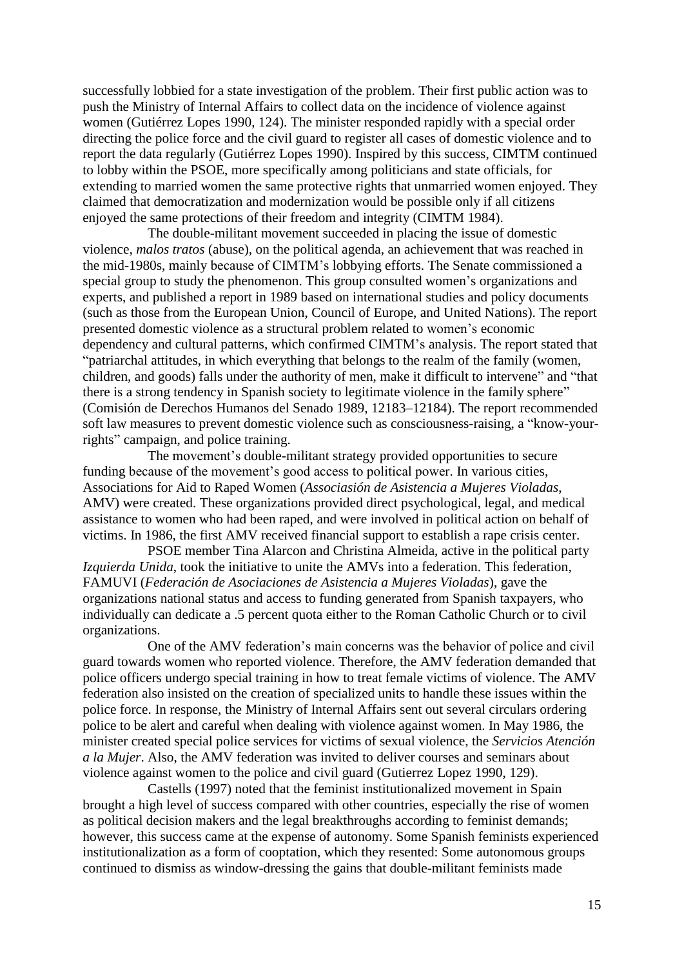successfully lobbied for a state investigation of the problem. Their first public action was to push the Ministry of Internal Affairs to collect data on the incidence of violence against women (Gutiérrez Lopes 1990, 124). The minister responded rapidly with a special order directing the police force and the civil guard to register all cases of domestic violence and to report the data regularly (Gutiérrez Lopes 1990). Inspired by this success, CIMTM continued to lobby within the PSOE, more specifically among politicians and state officials, for extending to married women the same protective rights that unmarried women enjoyed. They claimed that democratization and modernization would be possible only if all citizens enjoyed the same protections of their freedom and integrity (CIMTM 1984).

The double-militant movement succeeded in placing the issue of domestic violence, *malos tratos* (abuse), on the political agenda, an achievement that was reached in the mid-1980s, mainly because of CIMTM's lobbying efforts. The Senate commissioned a special group to study the phenomenon. This group consulted women's organizations and experts, and published a report in 1989 based on international studies and policy documents (such as those from the European Union, Council of Europe, and United Nations). The report presented domestic violence as a structural problem related to women's economic dependency and cultural patterns, which confirmed CIMTM's analysis. The report stated that "patriarchal attitudes, in which everything that belongs to the realm of the family (women, children, and goods) falls under the authority of men, make it difficult to intervene" and "that there is a strong tendency in Spanish society to legitimate violence in the family sphere" (Comisión de Derechos Humanos del Senado 1989, 12183–12184). The report recommended soft law measures to prevent domestic violence such as consciousness-raising, a "know-yourrights" campaign, and police training.

The movement's double-militant strategy provided opportunities to secure funding because of the movement's good access to political power. In various cities, Associations for Aid to Raped Women (*Associasión de Asistencia a Mujeres Violadas*, AMV) were created. These organizations provided direct psychological, legal, and medical assistance to women who had been raped, and were involved in political action on behalf of victims. In 1986, the first AMV received financial support to establish a rape crisis center.

PSOE member Tina Alarcon and Christina Almeida, active in the political party *Izquierda Unida*, took the initiative to unite the AMVs into a federation. This federation*,*  FAMUVI (*Federación de Asociaciones de Asistencia a Mujeres Violadas*), gave the organizations national status and access to funding generated from Spanish taxpayers, who individually can dedicate a .5 percent quota either to the Roman Catholic Church or to civil organizations.

One of the AMV federation's main concerns was the behavior of police and civil guard towards women who reported violence. Therefore, the AMV federation demanded that police officers undergo special training in how to treat female victims of violence. The AMV federation also insisted on the creation of specialized units to handle these issues within the police force. In response, the Ministry of Internal Affairs sent out several circulars ordering police to be alert and careful when dealing with violence against women. In May 1986, the minister created special police services for victims of sexual violence, the *Servicios Atención a la Mujer*. Also, the AMV federation was invited to deliver courses and seminars about violence against women to the police and civil guard (Gutierrez Lopez 1990, 129).

Castells (1997) noted that the feminist institutionalized movement in Spain brought a high level of success compared with other countries, especially the rise of women as political decision makers and the legal breakthroughs according to feminist demands; however, this success came at the expense of autonomy. Some Spanish feminists experienced institutionalization as a form of cooptation, which they resented: Some autonomous groups continued to dismiss as window-dressing the gains that double-militant feminists made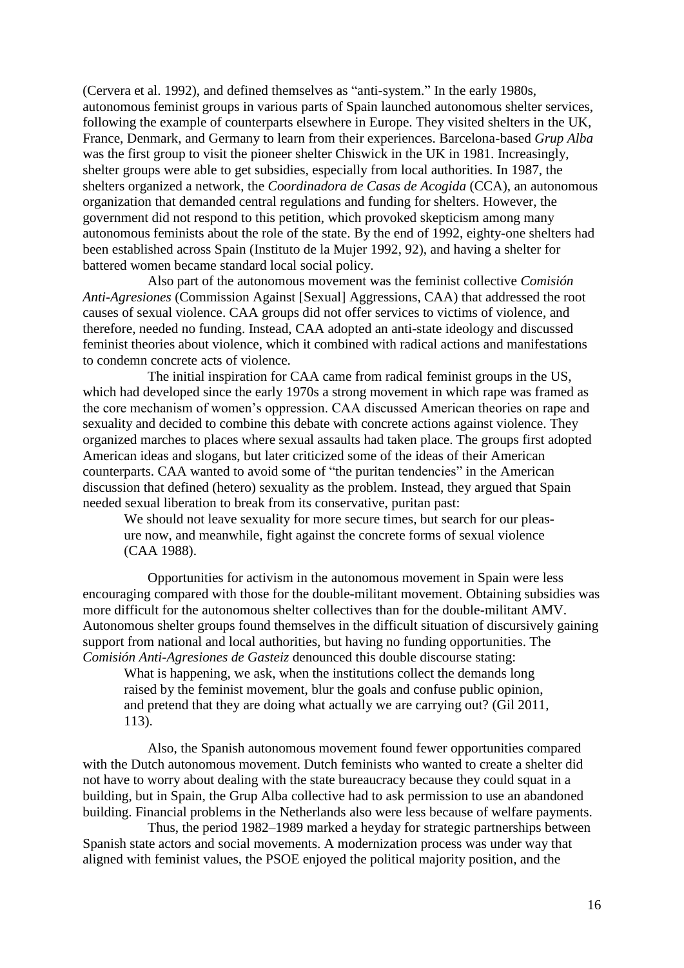(Cervera et al. 1992), and defined themselves as "anti-system." In the early 1980s, autonomous feminist groups in various parts of Spain launched autonomous shelter services, following the example of counterparts elsewhere in Europe. They visited shelters in the UK, France, Denmark, and Germany to learn from their experiences. Barcelona-based *Grup Alba* was the first group to visit the pioneer shelter Chiswick in the UK in 1981. Increasingly, shelter groups were able to get subsidies, especially from local authorities. In 1987, the shelters organized a network, the *Coordinadora de Casas de Acogida* (CCA), an autonomous organization that demanded central regulations and funding for shelters. However, the government did not respond to this petition, which provoked skepticism among many autonomous feminists about the role of the state. By the end of 1992, eighty-one shelters had been established across Spain (Instituto de la Mujer 1992, 92), and having a shelter for battered women became standard local social policy.

Also part of the autonomous movement was the feminist collective *Comisión Anti-Agresiones* (Commission Against [Sexual] Aggressions, CAA) that addressed the root causes of sexual violence. CAA groups did not offer services to victims of violence, and therefore, needed no funding. Instead, CAA adopted an anti-state ideology and discussed feminist theories about violence, which it combined with radical actions and manifestations to condemn concrete acts of violence.

The initial inspiration for CAA came from radical feminist groups in the US, which had developed since the early 1970s a strong movement in which rape was framed as the core mechanism of women's oppression. CAA discussed American theories on rape and sexuality and decided to combine this debate with concrete actions against violence. They organized marches to places where sexual assaults had taken place. The groups first adopted American ideas and slogans, but later criticized some of the ideas of their American counterparts. CAA wanted to avoid some of "the puritan tendencies" in the American discussion that defined (hetero) sexuality as the problem. Instead, they argued that Spain needed sexual liberation to break from its conservative, puritan past:

We should not leave sexuality for more secure times, but search for our pleasure now, and meanwhile, fight against the concrete forms of sexual violence (CAA 1988).

Opportunities for activism in the autonomous movement in Spain were less encouraging compared with those for the double-militant movement. Obtaining subsidies was more difficult for the autonomous shelter collectives than for the double-militant AMV. Autonomous shelter groups found themselves in the difficult situation of discursively gaining support from national and local authorities, but having no funding opportunities. The *Comisión Anti-Agresiones de Gasteiz* denounced this double discourse stating:

What is happening, we ask, when the institutions collect the demands long raised by the feminist movement, blur the goals and confuse public opinion, and pretend that they are doing what actually we are carrying out? (Gil 2011, 113).

Also, the Spanish autonomous movement found fewer opportunities compared with the Dutch autonomous movement. Dutch feminists who wanted to create a shelter did not have to worry about dealing with the state bureaucracy because they could squat in a building, but in Spain, the Grup Alba collective had to ask permission to use an abandoned building. Financial problems in the Netherlands also were less because of welfare payments.

Thus, the period 1982–1989 marked a heyday for strategic partnerships between Spanish state actors and social movements. A modernization process was under way that aligned with feminist values, the PSOE enjoyed the political majority position, and the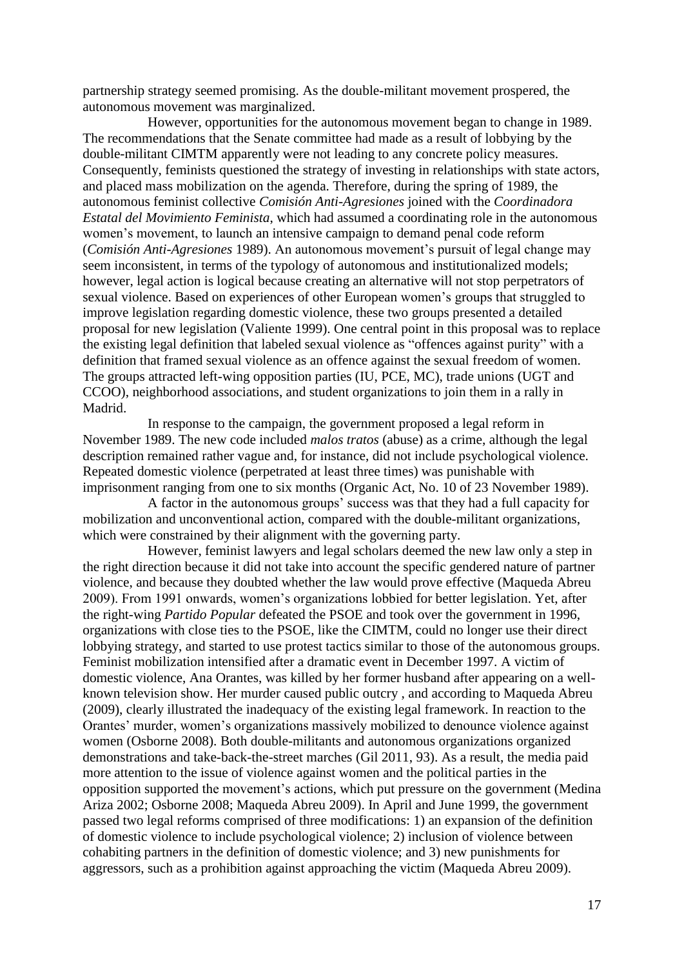partnership strategy seemed promising. As the double-militant movement prospered, the autonomous movement was marginalized.

However, opportunities for the autonomous movement began to change in 1989. The recommendations that the Senate committee had made as a result of lobbying by the double-militant CIMTM apparently were not leading to any concrete policy measures. Consequently, feminists questioned the strategy of investing in relationships with state actors, and placed mass mobilization on the agenda. Therefore, during the spring of 1989, the autonomous feminist collective *Comisión Anti-Agresiones* joined with the *Coordinadora Estatal del Movimiento Feminista*, which had assumed a coordinating role in the autonomous women's movement, to launch an intensive campaign to demand penal code reform (*Comisión Anti-Agresiones* 1989). An autonomous movement's pursuit of legal change may seem inconsistent, in terms of the typology of autonomous and institutionalized models; however, legal action is logical because creating an alternative will not stop perpetrators of sexual violence. Based on experiences of other European women's groups that struggled to improve legislation regarding domestic violence, these two groups presented a detailed proposal for new legislation (Valiente 1999). One central point in this proposal was to replace the existing legal definition that labeled sexual violence as "offences against purity" with a definition that framed sexual violence as an offence against the sexual freedom of women. The groups attracted left-wing opposition parties (IU, PCE, MC), trade unions (UGT and CCOO), neighborhood associations, and student organizations to join them in a rally in Madrid.

In response to the campaign, the government proposed a legal reform in November 1989. The new code included *malos tratos* (abuse) as a crime, although the legal description remained rather vague and, for instance, did not include psychological violence. Repeated domestic violence (perpetrated at least three times) was punishable with imprisonment ranging from one to six months (Organic Act, No. 10 of 23 November 1989).

A factor in the autonomous groups' success was that they had a full capacity for mobilization and unconventional action, compared with the double-militant organizations, which were constrained by their alignment with the governing party.

However, feminist lawyers and legal scholars deemed the new law only a step in the right direction because it did not take into account the specific gendered nature of partner violence, and because they doubted whether the law would prove effective (Maqueda Abreu 2009). From 1991 onwards, women's organizations lobbied for better legislation. Yet, after the right-wing *Partido Popular* defeated the PSOE and took over the government in 1996, organizations with close ties to the PSOE, like the CIMTM, could no longer use their direct lobbying strategy, and started to use protest tactics similar to those of the autonomous groups. Feminist mobilization intensified after a dramatic event in December 1997. A victim of domestic violence, Ana Orantes, was killed by her former husband after appearing on a wellknown television show. Her murder caused public outcry , and according to Maqueda Abreu (2009), clearly illustrated the inadequacy of the existing legal framework. In reaction to the Orantes' murder, women's organizations massively mobilized to denounce violence against women (Osborne 2008). Both double-militants and autonomous organizations organized demonstrations and take-back-the-street marches (Gil 2011, 93). As a result, the media paid more attention to the issue of violence against women and the political parties in the opposition supported the movement's actions, which put pressure on the government (Medina Ariza 2002; Osborne 2008; Maqueda Abreu 2009). In April and June 1999, the government passed two legal reforms comprised of three modifications: 1) an expansion of the definition of domestic violence to include psychological violence; 2) inclusion of violence between cohabiting partners in the definition of domestic violence; and 3) new punishments for aggressors, such as a prohibition against approaching the victim (Maqueda Abreu 2009).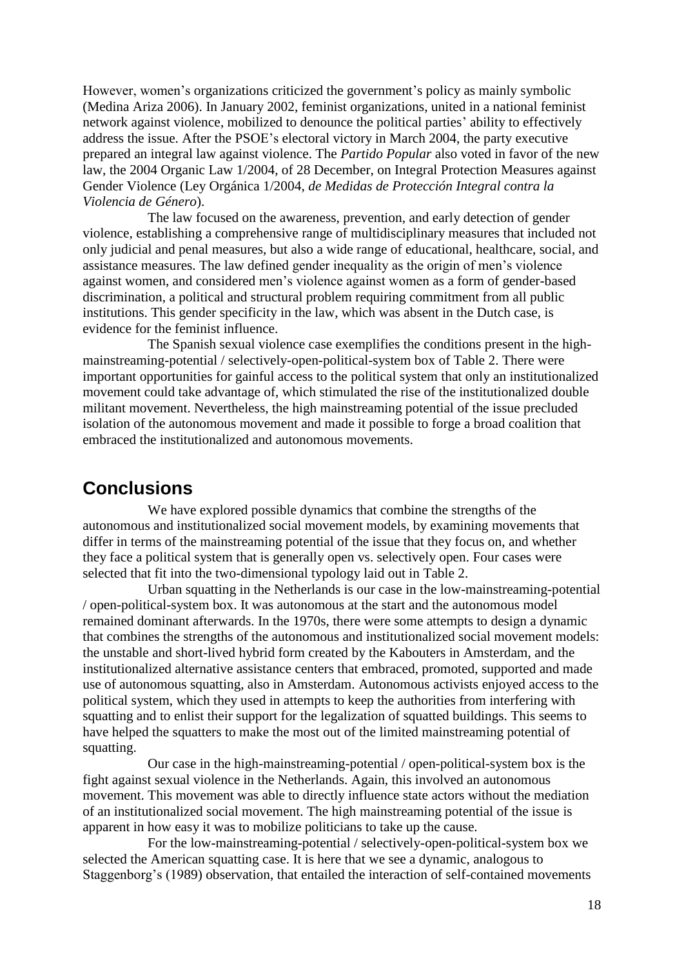However, women's organizations criticized the government's policy as mainly symbolic (Medina Ariza 2006). In January 2002, feminist organizations, united in a national feminist network against violence, mobilized to denounce the political parties' ability to effectively address the issue. After the PSOE's electoral victory in March 2004, the party executive prepared an integral law against violence. The *Partido Popular* also voted in favor of the new law, the 2004 Organic Law 1/2004, of 28 December, on Integral Protection Measures against Gender Violence (Ley Orgánica 1/2004, *de Medidas de Protección Integral contra la Violencia de Género*).

The law focused on the awareness, prevention, and early detection of gender violence, establishing a comprehensive range of multidisciplinary measures that included not only judicial and penal measures, but also a wide range of educational, healthcare, social, and assistance measures. The law defined gender inequality as the origin of men's violence against women, and considered men's violence against women as a form of gender-based discrimination, a political and structural problem requiring commitment from all public institutions. This gender specificity in the law, which was absent in the Dutch case, is evidence for the feminist influence.

The Spanish sexual violence case exemplifies the conditions present in the highmainstreaming-potential / selectively-open-political-system box of Table 2. There were important opportunities for gainful access to the political system that only an institutionalized movement could take advantage of, which stimulated the rise of the institutionalized double militant movement. Nevertheless, the high mainstreaming potential of the issue precluded isolation of the autonomous movement and made it possible to forge a broad coalition that embraced the institutionalized and autonomous movements.

# **Conclusions**

We have explored possible dynamics that combine the strengths of the autonomous and institutionalized social movement models, by examining movements that differ in terms of the mainstreaming potential of the issue that they focus on, and whether they face a political system that is generally open vs. selectively open. Four cases were selected that fit into the two-dimensional typology laid out in Table 2.

Urban squatting in the Netherlands is our case in the low-mainstreaming-potential / open-political-system box. It was autonomous at the start and the autonomous model remained dominant afterwards. In the 1970s, there were some attempts to design a dynamic that combines the strengths of the autonomous and institutionalized social movement models: the unstable and short-lived hybrid form created by the Kabouters in Amsterdam, and the institutionalized alternative assistance centers that embraced, promoted, supported and made use of autonomous squatting, also in Amsterdam. Autonomous activists enjoyed access to the political system, which they used in attempts to keep the authorities from interfering with squatting and to enlist their support for the legalization of squatted buildings. This seems to have helped the squatters to make the most out of the limited mainstreaming potential of squatting.

Our case in the high-mainstreaming-potential / open-political-system box is the fight against sexual violence in the Netherlands. Again, this involved an autonomous movement. This movement was able to directly influence state actors without the mediation of an institutionalized social movement. The high mainstreaming potential of the issue is apparent in how easy it was to mobilize politicians to take up the cause.

For the low-mainstreaming-potential / selectively-open-political-system box we selected the American squatting case. It is here that we see a dynamic, analogous to Staggenborg's (1989) observation, that entailed the interaction of self-contained movements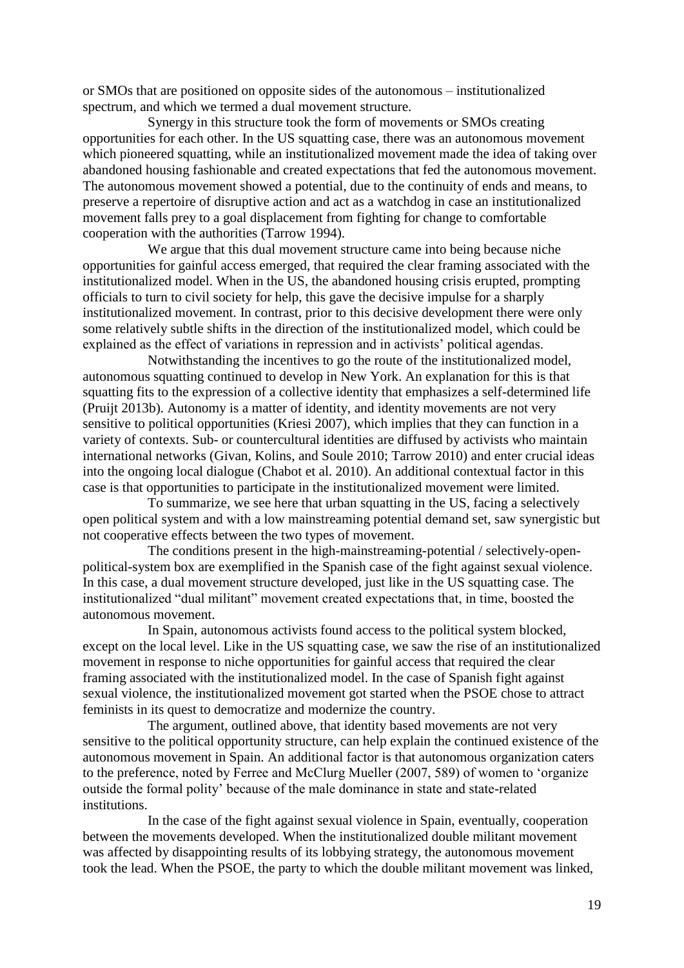or SMOs that are positioned on opposite sides of the autonomous – institutionalized spectrum, and which we termed a dual movement structure.

Synergy in this structure took the form of movements or SMOs creating opportunities for each other. In the US squatting case, there was an autonomous movement which pioneered squatting, while an institutionalized movement made the idea of taking over abandoned housing fashionable and created expectations that fed the autonomous movement. The autonomous movement showed a potential, due to the continuity of ends and means, to preserve a repertoire of disruptive action and act as a watchdog in case an institutionalized movement falls prey to a goal displacement from fighting for change to comfortable cooperation with the authorities (Tarrow 1994).

We argue that this dual movement structure came into being because niche opportunities for gainful access emerged, that required the clear framing associated with the institutionalized model. When in the US, the abandoned housing crisis erupted, prompting officials to turn to civil society for help, this gave the decisive impulse for a sharply institutionalized movement. In contrast, prior to this decisive development there were only some relatively subtle shifts in the direction of the institutionalized model, which could be explained as the effect of variations in repression and in activists' political agendas.

Notwithstanding the incentives to go the route of the institutionalized model, autonomous squatting continued to develop in New York. An explanation for this is that squatting fits to the expression of a collective identity that emphasizes a self-determined life (Pruijt 2013b). Autonomy is a matter of identity, and identity movements are not very sensitive to political opportunities (Kriesi 2007), which implies that they can function in a variety of contexts. Sub- or countercultural identities are diffused by activists who maintain international networks (Givan, Kolins, and Soule 2010; Tarrow 2010) and enter crucial ideas into the ongoing local dialogue (Chabot et al. 2010). An additional contextual factor in this case is that opportunities to participate in the institutionalized movement were limited.

To summarize, we see here that urban squatting in the US, facing a selectively open political system and with a low mainstreaming potential demand set, saw synergistic but not cooperative effects between the two types of movement.

The conditions present in the high-mainstreaming-potential / selectively-openpolitical-system box are exemplified in the Spanish case of the fight against sexual violence. In this case, a dual movement structure developed, just like in the US squatting case. The institutionalized "dual militant" movement created expectations that, in time, boosted the autonomous movement.

In Spain, autonomous activists found access to the political system blocked, except on the local level. Like in the US squatting case, we saw the rise of an institutionalized movement in response to niche opportunities for gainful access that required the clear framing associated with the institutionalized model. In the case of Spanish fight against sexual violence, the institutionalized movement got started when the PSOE chose to attract feminists in its quest to democratize and modernize the country.

The argument, outlined above, that identity based movements are not very sensitive to the political opportunity structure, can help explain the continued existence of the autonomous movement in Spain. An additional factor is that autonomous organization caters to the preference, noted by Ferree and McClurg Mueller (2007, 589) of women to 'organize outside the formal polity' because of the male dominance in state and state-related institutions.

In the case of the fight against sexual violence in Spain, eventually, cooperation between the movements developed. When the institutionalized double militant movement was affected by disappointing results of its lobbying strategy, the autonomous movement took the lead. When the PSOE, the party to which the double militant movement was linked,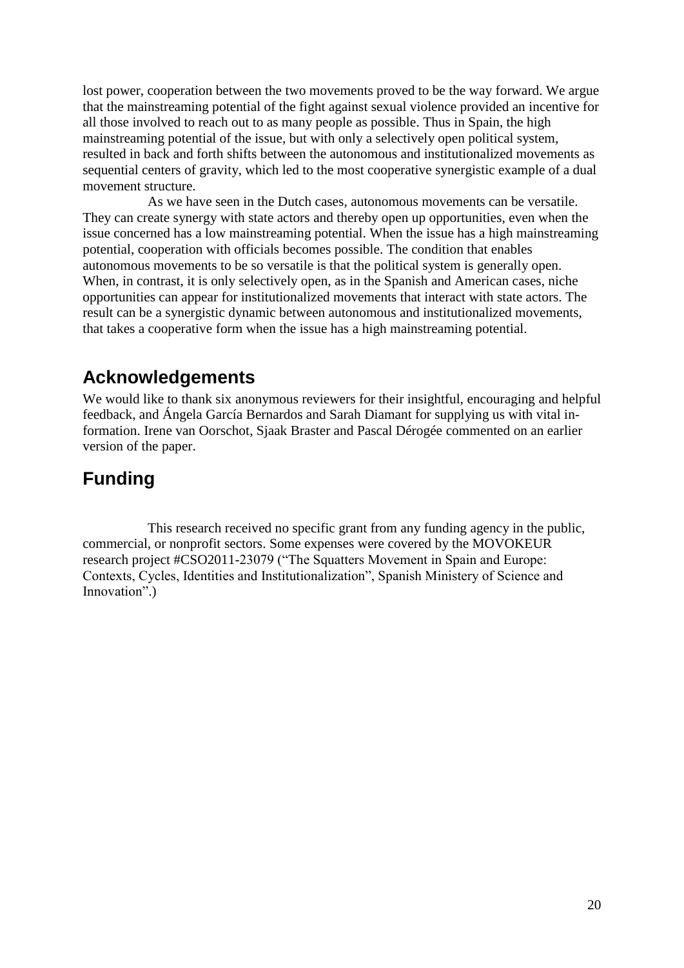lost power, cooperation between the two movements proved to be the way forward. We argue that the mainstreaming potential of the fight against sexual violence provided an incentive for all those involved to reach out to as many people as possible. Thus in Spain, the high mainstreaming potential of the issue, but with only a selectively open political system, resulted in back and forth shifts between the autonomous and institutionalized movements as sequential centers of gravity, which led to the most cooperative synergistic example of a dual movement structure.

As we have seen in the Dutch cases, autonomous movements can be versatile. They can create synergy with state actors and thereby open up opportunities, even when the issue concerned has a low mainstreaming potential. When the issue has a high mainstreaming potential, cooperation with officials becomes possible. The condition that enables autonomous movements to be so versatile is that the political system is generally open. When, in contrast, it is only selectively open, as in the Spanish and American cases, niche opportunities can appear for institutionalized movements that interact with state actors. The result can be a synergistic dynamic between autonomous and institutionalized movements, that takes a cooperative form when the issue has a high mainstreaming potential.

# **Acknowledgements**

We would like to thank six anonymous reviewers for their insightful, encouraging and helpful feedback, and Ángela García Bernardos and Sarah Diamant for supplying us with vital information. Irene van Oorschot, Sjaak Braster and Pascal Dérogée commented on an earlier version of the paper.

# **Funding**

This research received no specific grant from any funding agency in the public, commercial, or nonprofit sectors. Some expenses were covered by the MOVOKEUR research project #CSO2011-23079 ("The Squatters Movement in Spain and Europe: Contexts, Cycles, Identities and Institutionalization", Spanish Ministery of Science and Innovation".)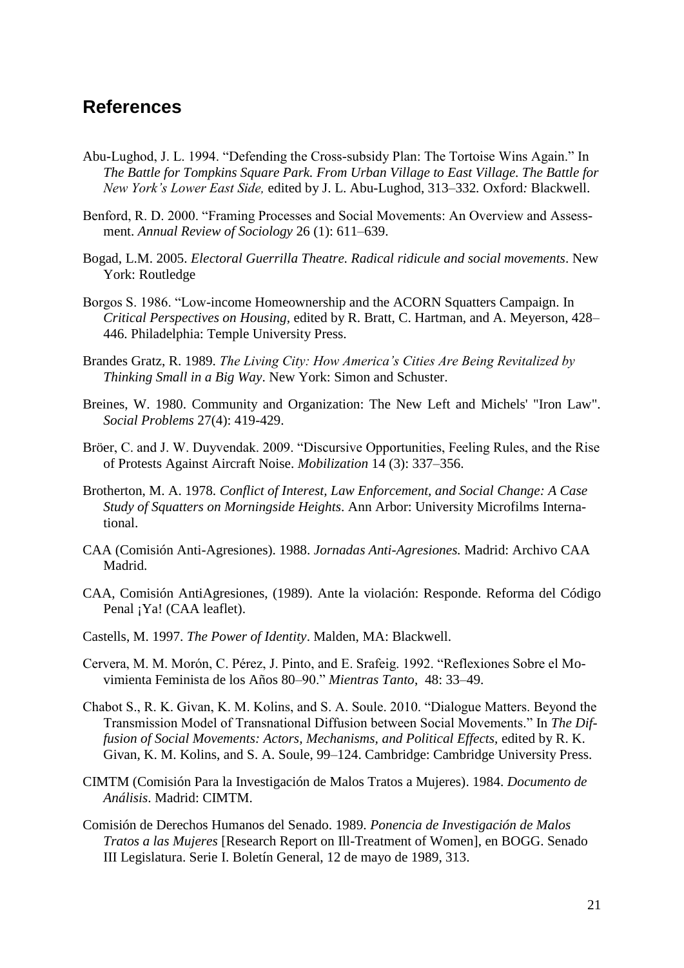### **References**

- Abu-Lughod, J. L. 1994. "Defending the Cross-subsidy Plan: The Tortoise Wins Again." In *The Battle for Tompkins Square Park. From Urban Village to East Village. The Battle for New York's Lower East Side,* edited by J. L. Abu-Lughod, 313–332*.* Oxford*:* Blackwell.
- Benford, R. D. 2000. "Framing Processes and Social Movements: An Overview and Assessment. *Annual Review of Sociology* 26 (1): 611–639.
- Bogad, L.M. 2005. *Electoral Guerrilla Theatre. Radical ridicule and social movements*. New York: Routledge
- Borgos S. 1986. "Low-income Homeownership and the ACORN Squatters Campaign. In *Critical Perspectives on Housing,* edited by R. Bratt, C. Hartman, and A. Meyerson, 428– 446. Philadelphia: Temple University Press.
- Brandes Gratz, R. 1989. *The Living City: How America's Cities Are Being Revitalized by Thinking Small in a Big Way*. New York: Simon and Schuster.
- Breines, W. 1980. Community and Organization: The New Left and Michels' "Iron Law". *Social Problems* 27(4): 419-429.
- Bröer, C. and J. W. Duyvendak. 2009. "Discursive Opportunities, Feeling Rules, and the Rise of Protests Against Aircraft Noise. *Mobilization* 14 (3): 337–356.
- Brotherton, M. A. 1978. *Conflict of Interest, Law Enforcement, and Social Change: A Case Study of Squatters on Morningside Heights*. Ann Arbor: University Microfilms International.
- CAA (Comisión Anti-Agresiones). 1988. *Jornadas Anti-Agresiones.* Madrid: Archivo CAA Madrid.
- CAA, Comisión AntiAgresiones, (1989). Ante la violación: Responde. Reforma del Código Penal ¡Ya! (CAA leaflet).
- Castells, M. 1997. *The Power of Identity*. Malden, MA: Blackwell.
- Cervera, M. M. Morón, C. Pérez, J. Pinto, and E. Srafeig. 1992. "Reflexiones Sobre el Movimienta Feminista de los Años 80–90.‖ *Mientras Tanto*, 48: 33–49.
- Chabot S., R. K. Givan, K. M. Kolins, and S. A. Soule. 2010. "Dialogue Matters. Beyond the Transmission Model of Transnational Diffusion between Social Movements." In *The Diffusion of Social Movements: Actors, Mechanisms, and Political Effects,* edited by R. K. Givan, K. M. Kolins, and S. A. Soule, 99–124. Cambridge: Cambridge University Press.
- CIMTM (Comisión Para la Investigación de Malos Tratos a Mujeres). 1984. *Documento de Análisis*. Madrid: CIMTM.
- Comisión de Derechos Humanos del Senado. 1989. *Ponencia de Investigación de Malos Tratos a las Mujeres* [Research Report on Ill-Treatment of Women], en BOGG. Senado III Legislatura. Serie I. Boletín General, 12 de mayo de 1989, 313.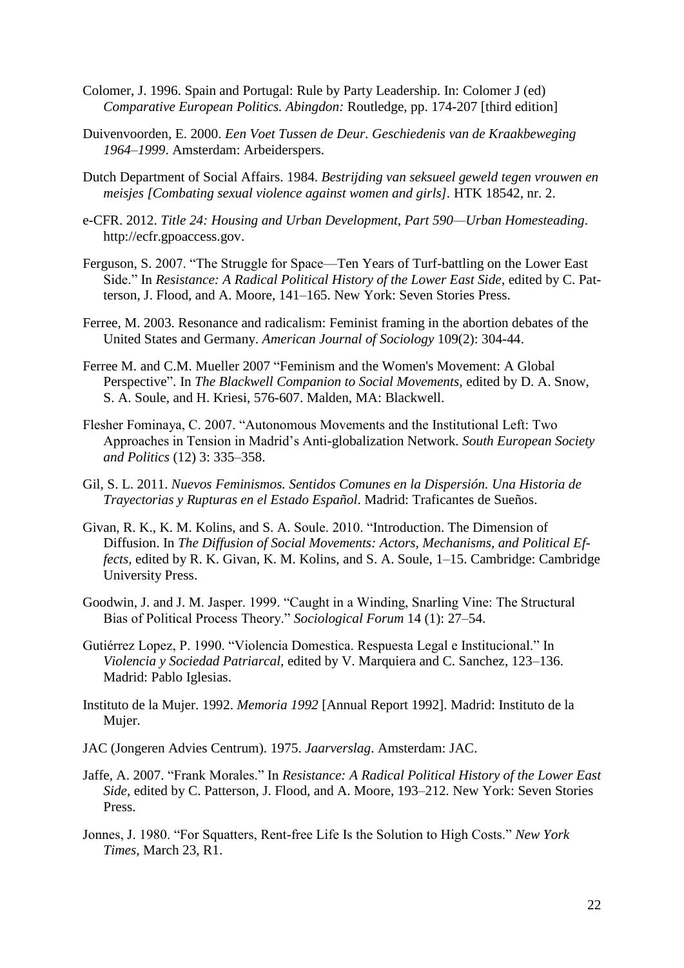- Colomer, J. 1996. Spain and Portugal: Rule by Party Leadership. In: Colomer J (ed) *Comparative European Politics. Abingdon:* Routledge, pp. 174-207 [third edition]
- Duivenvoorden, E. 2000. *Een Voet Tussen de Deur. Geschiedenis van de Kraakbeweging 1964–1999*. Amsterdam: Arbeiderspers.
- Dutch Department of Social Affairs. 1984. *Bestrijding van seksueel geweld tegen vrouwen en meisjes [Combating sexual violence against women and girls].* HTK 18542, nr. 2.
- e-CFR. 2012. *Title 24: Housing and Urban Development, Part 590—Urban Homesteading*. http://ecfr.gpoaccess.gov.
- Ferguson, S. 2007. "The Struggle for Space—Ten Years of Turf-battling on the Lower East Side." In *Resistance: A Radical Political History of the Lower East Side*, edited by C. Patterson, J. Flood, and A. Moore, 141–165. New York: Seven Stories Press.
- Ferree, M. 2003. Resonance and radicalism: Feminist framing in the abortion debates of the United States and Germany. *American Journal of Sociology* 109(2): 304-44.
- Ferree M. and C.M. Mueller 2007 "Feminism and the Women's Movement: A Global Perspective". In *The Blackwell Companion to Social Movements*, edited by D. A. Snow, S. A. Soule, and H. Kriesi, 576-607. Malden, MA: Blackwell.
- Flesher Fominaya, C. 2007. "Autonomous Movements and the Institutional Left: Two Approaches in Tension in Madrid's Anti-globalization Network. *South European Society and Politics* (12) 3: 335–358.
- Gil, S. L. 2011. *Nuevos Feminismos. Sentidos Comunes en la Dispersión. Una Historia de Trayectorias y Rupturas en el Estado Español*. Madrid: Traficantes de Sueños.
- Givan, R. K., K. M. Kolins, and S. A. Soule. 2010. "Introduction. The Dimension of Diffusion. In *The Diffusion of Social Movements: Actors, Mechanisms, and Political Effects,* edited by R. K. Givan, K. M. Kolins, and S. A. Soule, 1–15. Cambridge: Cambridge University Press.
- Goodwin, J. and J. M. Jasper. 1999. "Caught in a Winding, Snarling Vine: The Structural Bias of Political Process Theory.‖ *Sociological Forum* 14 (1): 27–54.
- Gutiérrez Lopez, P. 1990. "Violencia Domestica. Respuesta Legal e Institucional." In *Violencia y Sociedad Patriarcal,* edited by V. Marquiera and C. Sanchez, 123–136. Madrid: Pablo Iglesias.
- Instituto de la Mujer. 1992. *Memoria 1992* [Annual Report 1992]. Madrid: Instituto de la Mujer.

JAC (Jongeren Advies Centrum). 1975. *Jaarverslag*. Amsterdam: JAC.

- Jaffe, A. 2007. "Frank Morales." In *Resistance: A Radical Political History of the Lower East Side,* edited by C. Patterson, J. Flood, and A. Moore, 193–212*.* New York: Seven Stories Press.
- Jonnes, J. 1980. "For Squatters, Rent-free Life Is the Solution to High Costs." *New York Times,* March 23, R1.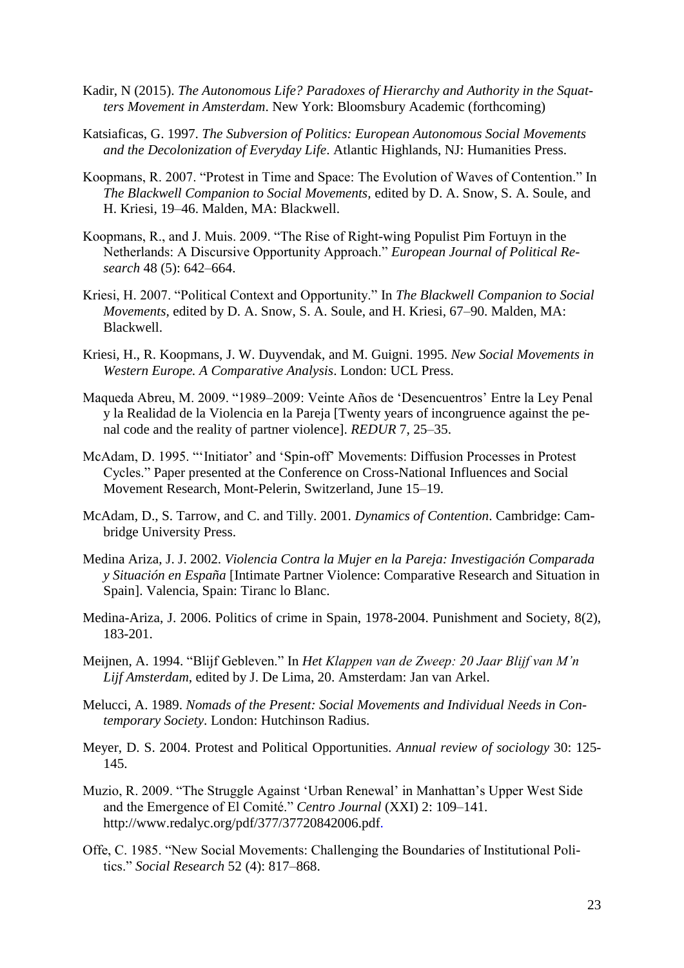- Kadir, N (2015). *The Autonomous Life? Paradoxes of Hierarchy and Authority in the Squatters Movement in Amsterdam*. New York: Bloomsbury Academic (forthcoming)
- Katsiaficas, G. 1997. *The Subversion of Politics: European Autonomous Social Movements and the Decolonization of Everyday Life*. Atlantic Highlands, NJ: Humanities Press.
- Koopmans, R. 2007. "Protest in Time and Space: The Evolution of Waves of Contention." In *The Blackwell Companion to Social Movements,* edited by D. A. Snow, S. A. Soule, and H. Kriesi, 19–46. Malden, MA: Blackwell.
- Koopmans, R., and J. Muis. 2009. "The Rise of Right-wing Populist Pim Fortuyn in the Netherlands: A Discursive Opportunity Approach." *European Journal of Political Research* 48 (5): 642–664.
- Kriesi, H. 2007. "Political Context and Opportunity." In *The Blackwell Companion to Social Movements,* edited by D. A. Snow, S. A. Soule, and H. Kriesi, 67–90. Malden, MA: Blackwell.
- Kriesi, H., R. Koopmans, J. W. Duyvendak, and M. Guigni. 1995. *New Social Movements in Western Europe. A Comparative Analysis*. London: UCL Press.
- Maqueda Abreu, M. 2009. "1989–2009: Veinte Años de 'Desencuentros' Entre la Ley Penal y la Realidad de la Violencia en la Pareja [Twenty years of incongruence against the penal code and the reality of partner violence]. *REDUR* 7, 25–35.
- McAdam, D. 1995. "'Initiator' and 'Spin-off' Movements: Diffusion Processes in Protest Cycles.‖ Paper presented at the Conference on Cross-National Influences and Social Movement Research, Mont-Pelerin, Switzerland, June 15–19.
- McAdam, D., S. Tarrow, and C. and Tilly. 2001. *Dynamics of Contention*. Cambridge: Cambridge University Press.
- Medina Ariza, J. J. 2002. *Violencia Contra la Mujer en la Pareja: Investigación Comparada y Situación en España* [Intimate Partner Violence: Comparative Research and Situation in Spain]. Valencia, Spain: Tiranc lo Blanc.
- Medina-Ariza, J. 2006. Politics of crime in Spain, 1978-2004. Punishment and Society, 8(2), 183-201.
- Meijnen, A. 1994. "Blijf Gebleven." In *Het Klappen van de Zweep: 20 Jaar Blijf van M'n Lijf Amsterdam*, edited by J. De Lima, 20. Amsterdam: Jan van Arkel.
- Melucci, A. 1989. *Nomads of the Present: Social Movements and Individual Needs in Contemporary Society*. London: Hutchinson Radius.
- Meyer, D. S. 2004. Protest and Political Opportunities. *Annual review of sociology* 30: 125- 145.
- Muzio, R. 2009. "The Struggle Against 'Urban Renewal' in Manhattan's Upper West Side and the Emergence of El Comité." *Centro Journal* (XXI) 2: 109-141. http://www.redalyc.org/pdf/377/37720842006.pdf.
- Offe, C. 1985. "New Social Movements: Challenging the Boundaries of Institutional Politics.‖ *Social Research* 52 (4): 817–868.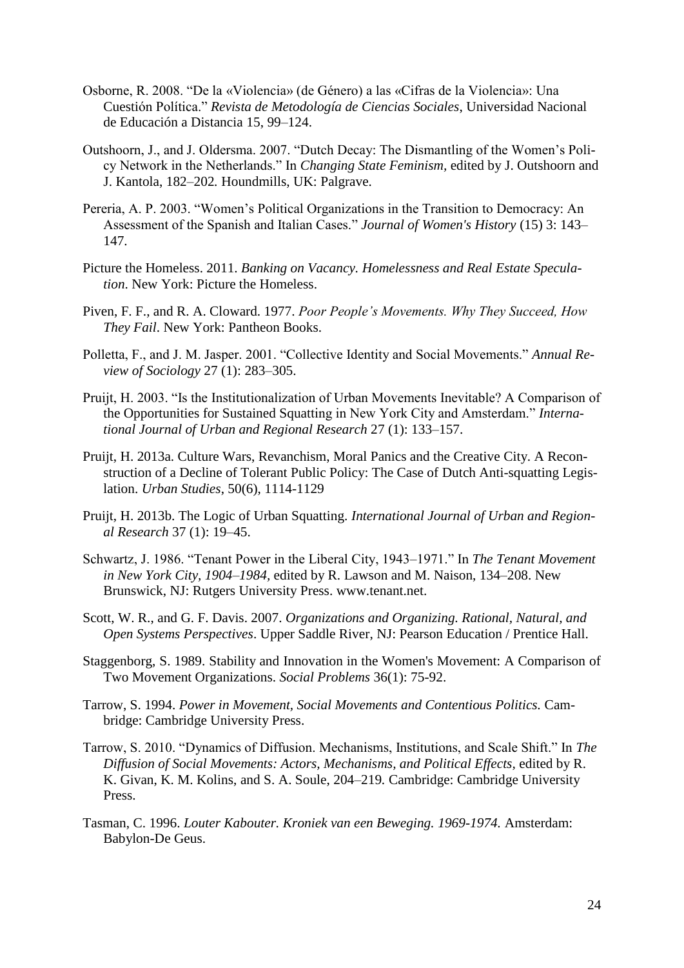- Osborne, R. 2008. "De la «Violencia» (de Género) a las «Cifras de la Violencia»: Una Cuestión Política.‖ *Revista de Metodología de Ciencias Sociales*, Universidad Nacional de Educación a Distancia 15, 99–124.
- Outshoorn, J., and J. Oldersma. 2007. "Dutch Decay: The Dismantling of the Women's Policy Network in the Netherlands.‖ In *Changing State Feminism,* edited by J. Outshoorn and J. Kantola, 182–202*.* Houndmills, UK: Palgrave.
- Pereria, A. P. 2003. "Women's Political Organizations in the Transition to Democracy: An Assessment of the Spanish and Italian Cases.‖ *Journal of Women's History* (15) 3: 143– 147.
- Picture the Homeless. 2011. *Banking on Vacancy. Homelessness and Real Estate Speculation*. New York: Picture the Homeless.
- Piven, F. F., and R. A. Cloward. 1977. *Poor People's Movements. Why They Succeed, How They Fail*. New York: Pantheon Books.
- Polletta, F., and J. M. Jasper. 2001. "Collective Identity and Social Movements." *Annual Review of Sociology* 27 (1): 283–305.
- Pruijt, H. 2003. "Is the Institutionalization of Urban Movements Inevitable? A Comparison of the Opportunities for Sustained Squatting in New York City and Amsterdam." *International Journal of Urban and Regional Research* 27 (1): 133–157.
- Pruijt, H. 2013a. Culture Wars, Revanchism, Moral Panics and the Creative City. A Reconstruction of a Decline of Tolerant Public Policy: The Case of Dutch Anti-squatting Legislation. *Urban Studies*, 50(6), 1114-1129
- Pruijt, H. 2013b. The Logic of Urban Squatting. *International Journal of Urban and Regional Research* 37 (1): 19–45.
- Schwartz, J. 1986. "Tenant Power in the Liberal City, 1943–1971." In *The Tenant Movement in New York City, 1904–1984,* edited by R. Lawson and M. Naison, 134–208. New Brunswick, NJ: Rutgers University Press. www.tenant.net.
- Scott, W. R., and G. F. Davis. 2007. *Organizations and Organizing. Rational, Natural, and Open Systems Perspectives*. Upper Saddle River, NJ: Pearson Education / Prentice Hall.
- Staggenborg, S. 1989. Stability and Innovation in the Women's Movement: A Comparison of Two Movement Organizations. *Social Problems* 36(1): 75-92.
- Tarrow, S. 1994. *Power in Movement, Social Movements and Contentious Politics.* Cambridge: Cambridge University Press.
- Tarrow, S. 2010. "Dynamics of Diffusion. Mechanisms, Institutions, and Scale Shift." In *The Diffusion of Social Movements: Actors, Mechanisms, and Political Effects,* edited by R. K. Givan, K. M. Kolins, and S. A. Soule, 204–219*.* Cambridge: Cambridge University Press.
- Tasman, C. 1996. *Louter Kabouter. Kroniek van een Beweging. 1969-1974.* Amsterdam: Babylon-De Geus.